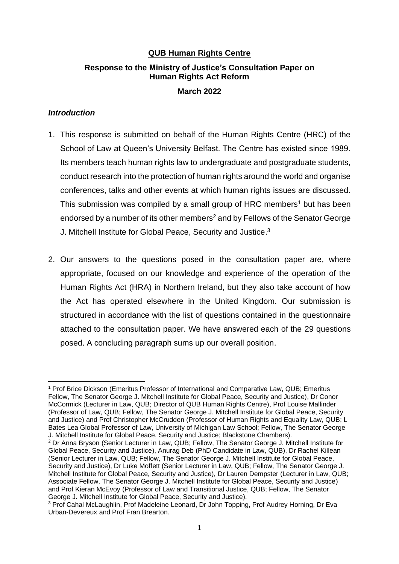# **QUB Human Rights Centre**

# **Response to the Ministry of Justice's Consultation Paper on Human Rights Act Reform**

#### **March 2022**

### *Introduction*

- 1. This response is submitted on behalf of the Human Rights Centre (HRC) of the School of Law at Queen's University Belfast. The Centre has existed since 1989. Its members teach human rights law to undergraduate and postgraduate students, conduct research into the protection of human rights around the world and organise conferences, talks and other events at which human rights issues are discussed. This submission was compiled by a small group of HRC members<sup>1</sup> but has been endorsed by a number of its other members<sup>2</sup> and by Fellows of the Senator George J. Mitchell Institute for Global Peace, Security and Justice.<sup>3</sup>
- 2. Our answers to the questions posed in the consultation paper are, where appropriate, focused on our knowledge and experience of the operation of the Human Rights Act (HRA) in Northern Ireland, but they also take account of how the Act has operated elsewhere in the United Kingdom. Our submission is structured in accordance with the list of questions contained in the questionnaire attached to the consultation paper. We have answered each of the 29 questions posed. A concluding paragraph sums up our overall position.

<sup>&</sup>lt;sup>1</sup> Prof Brice Dickson (Emeritus Professor of International and Comparative Law, QUB; Emeritus Fellow, The Senator George J. Mitchell Institute for Global Peace, Security and Justice), Dr Conor McCormick (Lecturer in Law, QUB; Director of QUB Human Rights Centre), Prof Louise Mallinder (Professor of Law, QUB; Fellow, The Senator George J. Mitchell Institute for Global Peace, Security and Justice) and Prof Christopher McCrudden (Professor of Human Rights and Equality Law, QUB; L Bates Lea Global Professor of Law, University of Michigan Law School; Fellow, The Senator George J. Mitchell Institute for Global Peace, Security and Justice; Blackstone Chambers).

<sup>&</sup>lt;sup>2</sup> Dr Anna Bryson (Senior Lecturer in Law, QUB; Fellow, The Senator George J. Mitchell Institute for Global Peace, Security and Justice), Anurag Deb (PhD Candidate in Law, QUB), Dr Rachel Killean (Senior Lecturer in Law, QUB; Fellow, The Senator George J. Mitchell Institute for Global Peace, Security and Justice), Dr Luke Moffett (Senior Lecturer in Law, QUB; Fellow, The Senator George J. Mitchell Institute for Global Peace, Security and Justice), Dr Lauren Dempster (Lecturer in Law, QUB; Associate Fellow, The Senator George J. Mitchell Institute for Global Peace, Security and Justice) and Prof Kieran McEvoy (Professor of Law and Transitional Justice, QUB; Fellow, The Senator George J. Mitchell Institute for Global Peace, Security and Justice).

<sup>3</sup> Prof Cahal McLaughlin, Prof Madeleine Leonard, Dr John Topping, Prof Audrey Horning, Dr Eva Urban-Devereux and Prof Fran Brearton.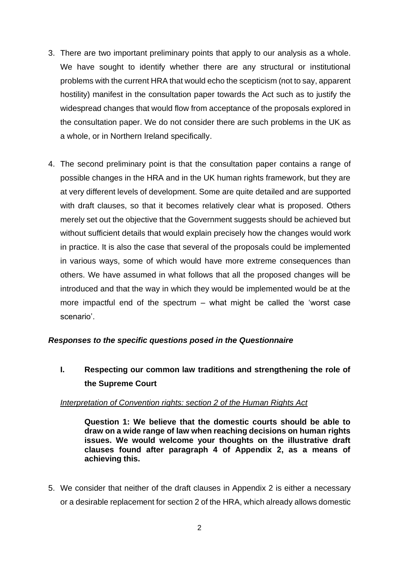- 3. There are two important preliminary points that apply to our analysis as a whole. We have sought to identify whether there are any structural or institutional problems with the current HRA that would echo the scepticism (not to say, apparent hostility) manifest in the consultation paper towards the Act such as to justify the widespread changes that would flow from acceptance of the proposals explored in the consultation paper. We do not consider there are such problems in the UK as a whole, or in Northern Ireland specifically.
- 4. The second preliminary point is that the consultation paper contains a range of possible changes in the HRA and in the UK human rights framework, but they are at very different levels of development. Some are quite detailed and are supported with draft clauses, so that it becomes relatively clear what is proposed. Others merely set out the objective that the Government suggests should be achieved but without sufficient details that would explain precisely how the changes would work in practice. It is also the case that several of the proposals could be implemented in various ways, some of which would have more extreme consequences than others. We have assumed in what follows that all the proposed changes will be introduced and that the way in which they would be implemented would be at the more impactful end of the spectrum – what might be called the 'worst case scenario'.

### *Responses to the specific questions posed in the Questionnaire*

# **I. Respecting our common law traditions and strengthening the role of the Supreme Court**

### *Interpretation of Convention rights: section 2 of the Human Rights Act*

**Question 1: We believe that the domestic courts should be able to draw on a wide range of law when reaching decisions on human rights issues. We would welcome your thoughts on the illustrative draft clauses found after paragraph 4 of Appendix 2, as a means of achieving this.** 

5. We consider that neither of the draft clauses in Appendix 2 is either a necessary or a desirable replacement for section 2 of the HRA, which already allows domestic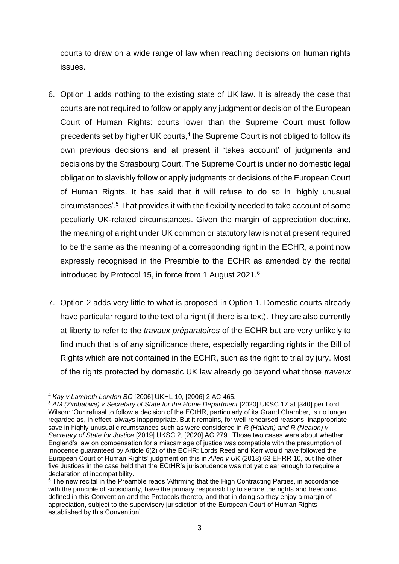courts to draw on a wide range of law when reaching decisions on human rights issues.

- 6. Option 1 adds nothing to the existing state of UK law. It is already the case that courts are not required to follow or apply any judgment or decision of the European Court of Human Rights: courts lower than the Supreme Court must follow precedents set by higher UK courts,<sup>4</sup> the Supreme Court is not obliged to follow its own previous decisions and at present it 'takes account' of judgments and decisions by the Strasbourg Court. The Supreme Court is under no domestic legal obligation to slavishly follow or apply judgments or decisions of the European Court of Human Rights. It has said that it will refuse to do so in 'highly unusual circumstances'.<sup>5</sup> That provides it with the flexibility needed to take account of some peculiarly UK-related circumstances. Given the margin of appreciation doctrine, the meaning of a right under UK common or statutory law is not at present required to be the same as the meaning of a corresponding right in the ECHR, a point now expressly recognised in the Preamble to the ECHR as amended by the recital introduced by Protocol 15, in force from 1 August 2021.<sup>6</sup>
- 7. Option 2 adds very little to what is proposed in Option 1. Domestic courts already have particular regard to the text of a right (if there is a text). They are also currently at liberty to refer to the *travaux préparatoires* of the ECHR but are very unlikely to find much that is of any significance there, especially regarding rights in the Bill of Rights which are not contained in the ECHR, such as the right to trial by jury. Most of the rights protected by domestic UK law already go beyond what those *travaux*

<sup>4</sup> *Kay v Lambeth London BC* [2006] UKHL 10, [2006] 2 AC 465.

<sup>&</sup>lt;sup>5</sup> AM (Zimbabwe) v Secretary of State for the Home Department [2020] UKSC 17 at [340] per Lord Wilson: 'Our refusal to follow a decision of the ECtHR, particularly of its Grand Chamber, is no longer regarded as, in effect, always inappropriate. But it remains, for well-rehearsed reasons, inappropriate save in highly unusual circumstances such as were considered in *R (Hallam) and R (Nealon) v Secretary of State for Justice* [2019] UKSC 2, [2020] AC 279'. Those two cases were about whether England's law on compensation for a miscarriage of justice was compatible with the presumption of innocence guaranteed by Article 6(2) of the ECHR: Lords Reed and Kerr would have followed the European Court of Human Rights' judgment on this in *Allen v UK* (2013) 63 EHRR 10, but the other five Justices in the case held that the ECtHR's jurisprudence was not yet clear enough to require a declaration of incompatibility.

<sup>&</sup>lt;sup>6</sup> The new recital in the Preamble reads 'Affirming that the High Contracting Parties, in accordance with the principle of subsidiarity, have the primary responsibility to secure the rights and freedoms defined in this Convention and the Protocols thereto, and that in doing so they enjoy a margin of appreciation, subject to the supervisory jurisdiction of the European Court of Human Rights established by this Convention'.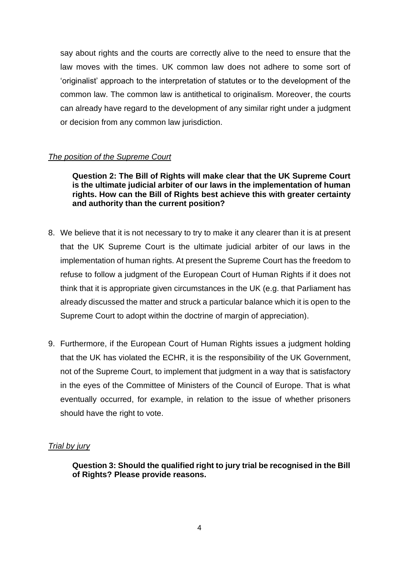say about rights and the courts are correctly alive to the need to ensure that the law moves with the times. UK common law does not adhere to some sort of 'originalist' approach to the interpretation of statutes or to the development of the common law. The common law is antithetical to originalism. Moreover, the courts can already have regard to the development of any similar right under a judgment or decision from any common law jurisdiction.

# *The position of the Supreme Court*

**Question 2: The Bill of Rights will make clear that the UK Supreme Court is the ultimate judicial arbiter of our laws in the implementation of human rights. How can the Bill of Rights best achieve this with greater certainty and authority than the current position?**

- 8. We believe that it is not necessary to try to make it any clearer than it is at present that the UK Supreme Court is the ultimate judicial arbiter of our laws in the implementation of human rights. At present the Supreme Court has the freedom to refuse to follow a judgment of the European Court of Human Rights if it does not think that it is appropriate given circumstances in the UK (e.g. that Parliament has already discussed the matter and struck a particular balance which it is open to the Supreme Court to adopt within the doctrine of margin of appreciation).
- 9. Furthermore, if the European Court of Human Rights issues a judgment holding that the UK has violated the ECHR, it is the responsibility of the UK Government, not of the Supreme Court, to implement that judgment in a way that is satisfactory in the eyes of the Committee of Ministers of the Council of Europe. That is what eventually occurred, for example, in relation to the issue of whether prisoners should have the right to vote.

# *Trial by jury*

**Question 3: Should the qualified right to jury trial be recognised in the Bill of Rights? Please provide reasons.**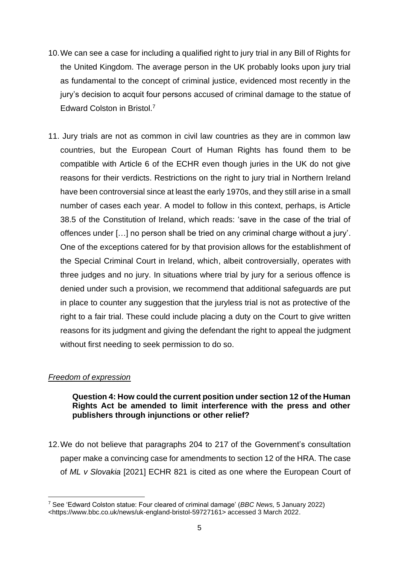- 10.We can see a case for including a qualified right to jury trial in any Bill of Rights for the United Kingdom. The average person in the UK probably looks upon jury trial as fundamental to the concept of criminal justice, evidenced most recently in the jury's decision to acquit four persons accused of criminal damage to the statue of Edward Colston in Bristol.<sup>7</sup>
- 11. Jury trials are not as common in civil law countries as they are in common law countries, but the European Court of Human Rights has found them to be compatible with Article 6 of the ECHR even though juries in the UK do not give reasons for their verdicts. Restrictions on the right to jury trial in Northern Ireland have been controversial since at least the early 1970s, and they still arise in a small number of cases each year. A model to follow in this context, perhaps, is Article 38.5 of the Constitution of Ireland, which reads: 'save in the case of the trial of offences under […] no person shall be tried on any criminal charge without a jury'. One of the exceptions catered for by that provision allows for the establishment of the Special Criminal Court in Ireland, which, albeit controversially, operates with three judges and no jury. In situations where trial by jury for a serious offence is denied under such a provision, we recommend that additional safeguards are put in place to counter any suggestion that the juryless trial is not as protective of the right to a fair trial. These could include placing a duty on the Court to give written reasons for its judgment and giving the defendant the right to appeal the judgment without first needing to seek permission to do so.

### *Freedom of expression*

# **Question 4: How could the current position under section 12 of the Human Rights Act be amended to limit interference with the press and other publishers through injunctions or other relief?**

12.We do not believe that paragraphs 204 to 217 of the Government's consultation paper make a convincing case for amendments to section 12 of the HRA. The case of *ML v Slovakia* [2021] ECHR 821 is cited as one where the European Court of

<sup>7</sup> See 'Edward Colston statue: Four cleared of criminal damage' (*BBC News,* 5 January 2022) <https://www.bbc.co.uk/news/uk-england-bristol-59727161> accessed 3 March 2022.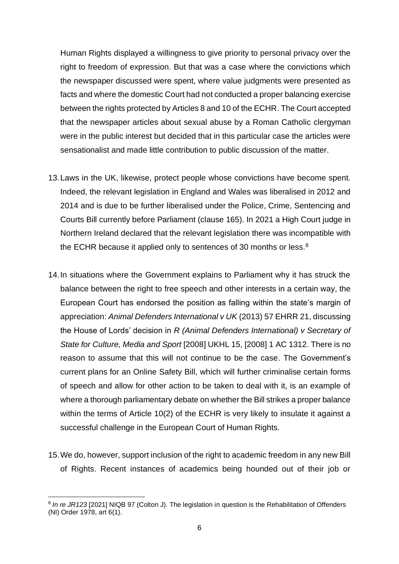Human Rights displayed a willingness to give priority to personal privacy over the right to freedom of expression. But that was a case where the convictions which the newspaper discussed were spent, where value judgments were presented as facts and where the domestic Court had not conducted a proper balancing exercise between the rights protected by Articles 8 and 10 of the ECHR. The Court accepted that the newspaper articles about sexual abuse by a Roman Catholic clergyman were in the public interest but decided that in this particular case the articles were sensationalist and made little contribution to public discussion of the matter.

- 13.Laws in the UK, likewise, protect people whose convictions have become spent. Indeed, the relevant legislation in England and Wales was liberalised in 2012 and 2014 and is due to be further liberalised under the Police, Crime, Sentencing and Courts Bill currently before Parliament (clause 165). In 2021 a High Court judge in Northern Ireland declared that the relevant legislation there was incompatible with the ECHR because it applied only to sentences of 30 months or less.<sup>8</sup>
- 14.In situations where the Government explains to Parliament why it has struck the balance between the right to free speech and other interests in a certain way, the European Court has endorsed the position as falling within the state's margin of appreciation: *Animal Defenders International v UK* (2013) 57 EHRR 21, discussing the House of Lords' decision in *R (Animal Defenders International) v Secretary of State for Culture, Media and Sport* [2008] UKHL 15, [2008] 1 AC 1312. There is no reason to assume that this will not continue to be the case. The Government's current plans for an Online Safety Bill, which will further criminalise certain forms of speech and allow for other action to be taken to deal with it, is an example of where a thorough parliamentary debate on whether the Bill strikes a proper balance within the terms of Article 10(2) of the ECHR is very likely to insulate it against a successful challenge in the European Court of Human Rights.
- 15.We do, however, support inclusion of the right to academic freedom in any new Bill of Rights. Recent instances of academics being hounded out of their job or

<sup>&</sup>lt;sup>8</sup> In re JR123 [2021] NIQB 97 (Colton J). The legislation in question is the Rehabilitation of Offenders (NI) Order 1978, art 6(1).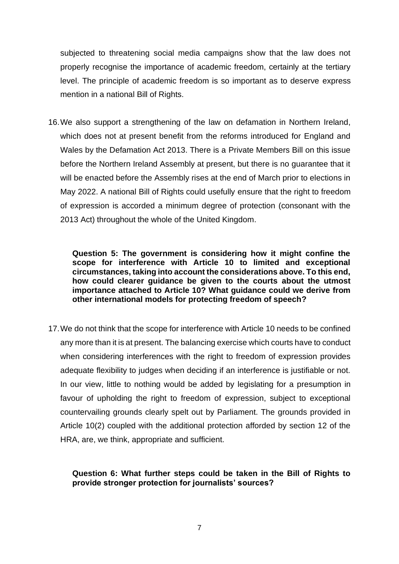subjected to threatening social media campaigns show that the law does not properly recognise the importance of academic freedom, certainly at the tertiary level. The principle of academic freedom is so important as to deserve express mention in a national Bill of Rights.

16.We also support a strengthening of the law on defamation in Northern Ireland, which does not at present benefit from the reforms introduced for England and Wales by the Defamation Act 2013. There is a Private Members Bill on this issue before the Northern Ireland Assembly at present, but there is no guarantee that it will be enacted before the Assembly rises at the end of March prior to elections in May 2022. A national Bill of Rights could usefully ensure that the right to freedom of expression is accorded a minimum degree of protection (consonant with the 2013 Act) throughout the whole of the United Kingdom.

**Question 5: The government is considering how it might confine the scope for interference with Article 10 to limited and exceptional circumstances, taking into account the considerations above. To this end, how could clearer guidance be given to the courts about the utmost importance attached to Article 10? What guidance could we derive from other international models for protecting freedom of speech?**

17.We do not think that the scope for interference with Article 10 needs to be confined any more than it is at present. The balancing exercise which courts have to conduct when considering interferences with the right to freedom of expression provides adequate flexibility to judges when deciding if an interference is justifiable or not. In our view, little to nothing would be added by legislating for a presumption in favour of upholding the right to freedom of expression, subject to exceptional countervailing grounds clearly spelt out by Parliament. The grounds provided in Article 10(2) coupled with the additional protection afforded by section 12 of the HRA, are, we think, appropriate and sufficient.

# **Question 6: What further steps could be taken in the Bill of Rights to provide stronger protection for journalists' sources?**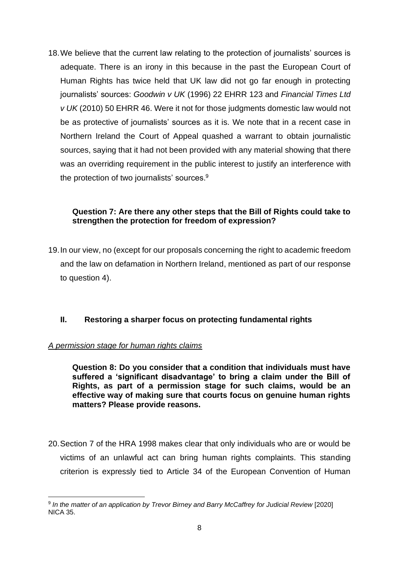18.We believe that the current law relating to the protection of journalists' sources is adequate. There is an irony in this because in the past the European Court of Human Rights has twice held that UK law did not go far enough in protecting journalists' sources: *Goodwin v UK* (1996) 22 EHRR 123 and *Financial Times Ltd v UK* (2010) 50 EHRR 46. Were it not for those judgments domestic law would not be as protective of journalists' sources as it is. We note that in a recent case in Northern Ireland the Court of Appeal quashed a warrant to obtain journalistic sources, saying that it had not been provided with any material showing that there was an overriding requirement in the public interest to justify an interference with the protection of two journalists' sources.<sup>9</sup>

# **Question 7: Are there any other steps that the Bill of Rights could take to strengthen the protection for freedom of expression?**

19.In our view, no (except for our proposals concerning the right to academic freedom and the law on defamation in Northern Ireland, mentioned as part of our response to question 4).

# **II. Restoring a sharper focus on protecting fundamental rights**

### *A permission stage for human rights claims*

**Question 8: Do you consider that a condition that individuals must have suffered a 'significant disadvantage' to bring a claim under the Bill of Rights, as part of a permission stage for such claims, would be an effective way of making sure that courts focus on genuine human rights matters? Please provide reasons.**

20.Section 7 of the HRA 1998 makes clear that only individuals who are or would be victims of an unlawful act can bring human rights complaints. This standing criterion is expressly tied to Article 34 of the European Convention of Human

<sup>9</sup> *In the matter of an application by Trevor Birney and Barry McCaffrey for Judicial Review* [2020] NICA 35.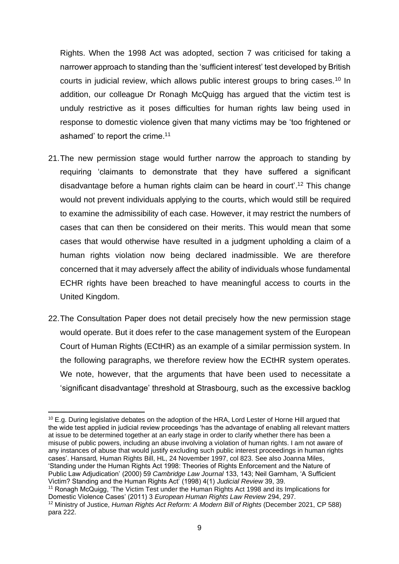<span id="page-8-0"></span>Rights. When the 1998 Act was adopted, section 7 was criticised for taking a narrower approach to standing than the 'sufficient interest' test developed by British courts in judicial review, which allows public interest groups to bring cases.<sup>10</sup> In addition, our colleague Dr Ronagh McQuigg has argued that the victim test is unduly restrictive as it poses difficulties for human rights law being used in response to domestic violence given that many victims may be 'too frightened or ashamed' to report the crime.<sup>11</sup>

- <span id="page-8-1"></span>21.The new permission stage would further narrow the approach to standing by requiring 'claimants to demonstrate that they have suffered a significant disadvantage before a human rights claim can be heard in court'. <sup>12</sup> This change would not prevent individuals applying to the courts, which would still be required to examine the admissibility of each case. However, it may restrict the numbers of cases that can then be considered on their merits. This would mean that some cases that would otherwise have resulted in a judgment upholding a claim of a human rights violation now being declared inadmissible. We are therefore concerned that it may adversely affect the ability of individuals whose fundamental ECHR rights have been breached to have meaningful access to courts in the United Kingdom.
- 22.The Consultation Paper does not detail precisely how the new permission stage would operate. But it does refer to the case management system of the European Court of Human Rights (ECtHR) as an example of a similar permission system. In the following paragraphs, we therefore review how the ECtHR system operates. We note, however, that the arguments that have been used to necessitate a 'significant disadvantage' threshold at Strasbourg, such as the excessive backlog

<sup>&</sup>lt;sup>10</sup> E.g. During legislative debates on the adoption of the HRA, Lord Lester of Horne Hill argued that the wide test applied in judicial review proceedings 'has the advantage of enabling all relevant matters at issue to be determined together at an early stage in order to clarify whether there has been a misuse of public powers, including an abuse involving a violation of human rights. I am not aware of any instances of abuse that would justify excluding such public interest proceedings in human rights cases'. Hansard*,* Human Rights Bill, HL, 24 November 1997, col 823. See also Joanna Miles, 'Standing under the Human Rights Act 1998: Theories of Rights Enforcement and the Nature of Public Law Adjudication' (2000) 59 *Cambridge Law Journal* 133, 143; Neil Garnham, 'A Sufficient Victim? Standing and the Human Rights Act' (1998) 4(1) *Judicial Review* 39, 39.

<sup>&</sup>lt;sup>11</sup> Ronagh McQuigg, 'The Victim Test under the Human Rights Act 1998 and its Implications for Domestic Violence Cases' (2011) 3 *European Human Rights Law Review* 294, 297. <sup>12</sup> Ministry of Justice, *Human Rights Act Reform: A Modern Bill of Rights* (December 2021, CP 588) para 222.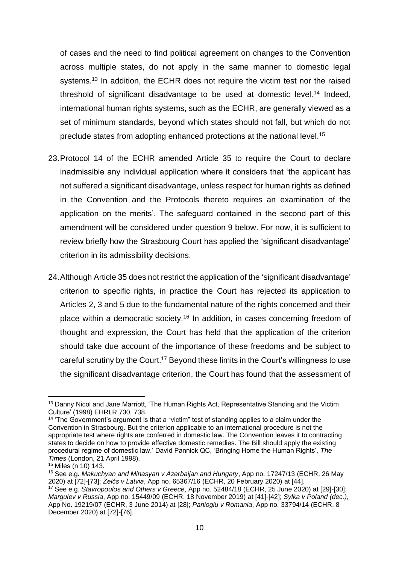of cases and the need to find political agreement on changes to the Convention across multiple states, do not apply in the same manner to domestic legal systems.<sup>13</sup> In addition, the ECHR does not require the victim test nor the raised threshold of significant disadvantage to be used at domestic level.<sup>14</sup> Indeed, international human rights systems, such as the ECHR, are generally viewed as a set of minimum standards, beyond which states should not fall, but which do not preclude states from adopting enhanced protections at the national level.<sup>15</sup>

- 23.Protocol 14 of the ECHR amended Article 35 to require the Court to declare inadmissible any individual application where it considers that 'the applicant has not suffered a significant disadvantage, unless respect for human rights as defined in the Convention and the Protocols thereto requires an examination of the application on the merits'. The safeguard contained in the second part of this amendment will be considered under question 9 below. For now, it is sufficient to review briefly how the Strasbourg Court has applied the 'significant disadvantage' criterion in its admissibility decisions.
- 24.Although Article 35 does not restrict the application of the 'significant disadvantage' criterion to specific rights, in practice the Court has rejected its application to Articles 2, 3 and 5 due to the fundamental nature of the rights concerned and their place within a democratic society.<sup>16</sup> In addition, in cases concerning freedom of thought and expression, the Court has held that the application of the criterion should take due account of the importance of these freedoms and be subject to careful scrutiny by the Court.<sup>17</sup> Beyond these limits in the Court's willingness to use the significant disadvantage criterion, the Court has found that the assessment of

<sup>&</sup>lt;sup>13</sup> Danny Nicol and Jane Marriott, 'The Human Rights Act, Representative Standing and the Victim Culture' (1998) EHRLR 730, 738.

<sup>&</sup>lt;sup>14</sup> 'The Government's argument is that a "victim" test of standing applies to a claim under the Convention in Strasbourg. But the criterion applicable to an international procedure is not the appropriate test where rights are conferred in domestic law. The Convention leaves it to contracting states to decide on how to provide effective domestic remedies. The Bill should apply the existing procedural regime of domestic law.' David Pannick QC, 'Bringing Home the Human Rights', *The Times* (London, 21 April 1998).

<sup>15</sup> Miles (n [10\)](#page-8-0) 143.

<sup>16</sup> See e.g. *Makuchyan and Minasyan v Azerbaijan and Hungary*, App no. [17247/13](https://hudoc.echr.coe.int/eng#{%22appno%22:[%2217247/13%22]}) (ECHR, 26 May 2020) at [72]-[73]; *Zelčs v Latvia*, App no. 65367/16 (ECHR, 20 February 2020) at [44].

<sup>17</sup> See e.g. *Stavropoulos and Others v Greece*, App no. [52484/18](https://hudoc.echr.coe.int/eng#{%22appno%22:[%2252484/18%22]}) (ECHR, 25 June 2020) at [29]-[30]; *Margulev v Russia*, App no. 15449/09 (ECHR, 18 November 2019) at [41]-[42]; *Sylka v Poland (dec.)*, App No. 19219/07 (ECHR, 3 June 2014) at [28]; *Panioglu v Romania*, App no. [33794/14](https://hudoc.echr.coe.int/eng#{%22appno%22:[%2233794/14%22]}) (ECHR, 8 December 2020) at [72]-[76].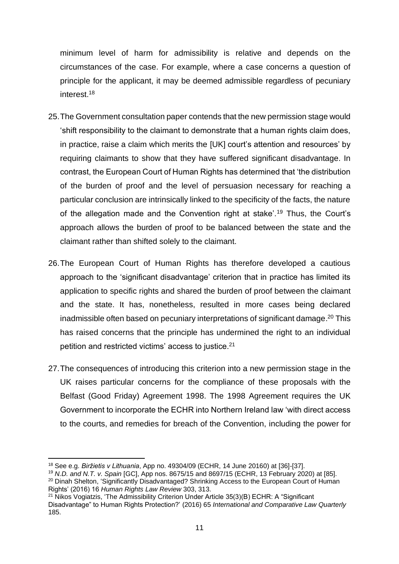minimum level of harm for admissibility is relative and depends on the circumstances of the case. For example, where a case concerns a question of principle for the applicant, it may be deemed admissible regardless of pecuniary interest.<sup>18</sup>

- 25.The Government consultation paper contends that the new permission stage would 'shift responsibility to the claimant to demonstrate that a human rights claim does, in practice, raise a claim which merits the [UK] court's attention and resources' by requiring claimants to show that they have suffered significant disadvantage. In contrast, the European Court of Human Rights has determined that 'the distribution of the burden of proof and the level of persuasion necessary for reaching a particular conclusion are intrinsically linked to the specificity of the facts, the nature of the allegation made and the Convention right at stake'.<sup>19</sup> Thus, the Court's approach allows the burden of proof to be balanced between the state and the claimant rather than shifted solely to the claimant.
- 26.The European Court of Human Rights has therefore developed a cautious approach to the 'significant disadvantage' criterion that in practice has limited its application to specific rights and shared the burden of proof between the claimant and the state. It has, nonetheless, resulted in more cases being declared inadmissible often based on pecuniary interpretations of significant damage. <sup>20</sup> This has raised concerns that the principle has undermined the right to an individual petition and restricted victims' access to justice.<sup>21</sup>
- <span id="page-10-0"></span>27.The consequences of introducing this criterion into a new permission stage in the UK raises particular concerns for the compliance of these proposals with the Belfast (Good Friday) Agreement 1998. The 1998 Agreement requires the UK Government to incorporate the ECHR into Northern Ireland law 'with direct access to the courts, and remedies for breach of the Convention, including the power for

Rights' (2016) 16 *Human Rights Law Review* 303, 313.

<sup>18</sup> See e.g. *Biržietis v Lithuania*, App no. 49304/09 (ECHR, 14 June 20160) at [36]-[37].

<sup>19</sup> *N.D. and N.T. v. Spain* [GC], App nos. [8675/15](https://hudoc.echr.coe.int/eng#{%22appno%22:[%228675/15%22]}) and [8697/15](https://hudoc.echr.coe.int/eng#{%22appno%22:[%228697/15%22]}) (ECHR, 13 February 2020) at [85]. <sup>20</sup> Dinah Shelton, 'Significantly Disadvantaged? Shrinking Access to the European Court of Human

<sup>&</sup>lt;sup>21</sup> Nikos Vogiatzis, 'The Admissibility Criterion Under Article 35(3)(B) ECHR: A "Significant Disadvantage" to Human Rights Protection?' (2016) 65 *International and Comparative Law Quarterly* 185.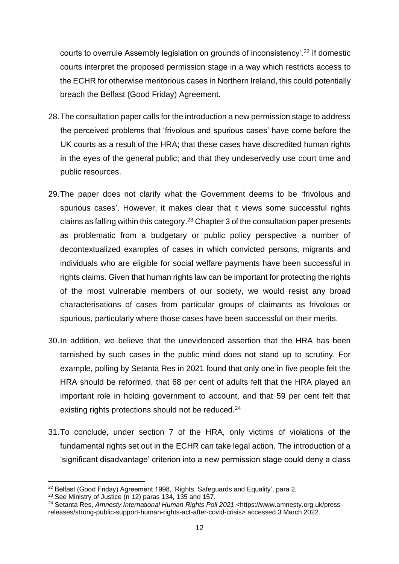courts to overrule Assembly legislation on grounds of inconsistency'.<sup>22</sup> If domestic courts interpret the proposed permission stage in a way which restricts access to the ECHR for otherwise meritorious cases in Northern Ireland, this could potentially breach the Belfast (Good Friday) Agreement.

- 28.The consultation paper calls for the introduction a new permission stage to address the perceived problems that 'frivolous and spurious cases' have come before the UK courts as a result of the HRA; that these cases have discredited human rights in the eyes of the general public; and that they undeservedly use court time and public resources.
- 29.The paper does not clarify what the Government deems to be 'frivolous and spurious cases'. However, it makes clear that it views some successful rights claims as falling within this category.<sup>23</sup> Chapter 3 of the consultation paper presents as problematic from a budgetary or public policy perspective a number of decontextualized examples of cases in which convicted persons, migrants and individuals who are eligible for social welfare payments have been successful in rights claims. Given that human rights law can be important for protecting the rights of the most vulnerable members of our society, we would resist any broad characterisations of cases from particular groups of claimants as frivolous or spurious, particularly where those cases have been successful on their merits.
- 30.In addition, we believe that the unevidenced assertion that the HRA has been tarnished by such cases in the public mind does not stand up to scrutiny. For example, polling by Setanta Res in 2021 found that only one in five people felt the HRA should be reformed, that 68 per cent of adults felt that the HRA played an important role in holding government to account, and that 59 per cent felt that existing rights protections should not be reduced.<sup>24</sup>
- 31.To conclude, under section 7 of the HRA, only victims of violations of the fundamental rights set out in the ECHR can take legal action. The introduction of a 'significant disadvantage' criterion into a new permission stage could deny a class

<sup>&</sup>lt;sup>22</sup> Belfast (Good Friday) Agreement 1998, 'Rights, Safeguards and Equality', para 2.

 $23$  See Ministry of Justice (n [12\)](#page-8-1) paras 134, 135 and 157.

<sup>24</sup> Setanta Res, *Amnesty International Human Rights Poll 2021* <https://www.amnesty.org.uk/pressreleases/strong-public-support-human-rights-act-after-covid-crisis> accessed 3 March 2022.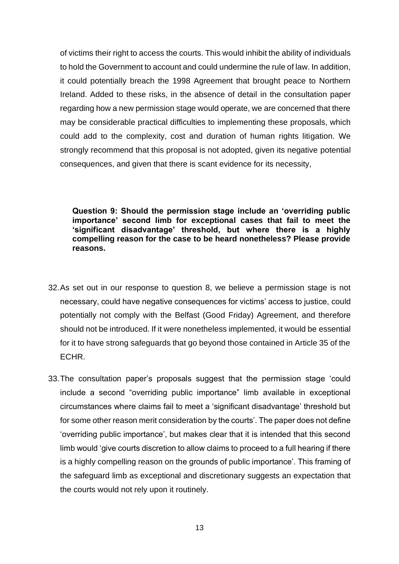of victims their right to access the courts. This would inhibit the ability of individuals to hold the Government to account and could undermine the rule of law. In addition, it could potentially breach the 1998 Agreement that brought peace to Northern Ireland. Added to these risks, in the absence of detail in the consultation paper regarding how a new permission stage would operate, we are concerned that there may be considerable practical difficulties to implementing these proposals, which could add to the complexity, cost and duration of human rights litigation. We strongly recommend that this proposal is not adopted, given its negative potential consequences, and given that there is scant evidence for its necessity,

**Question 9: Should the permission stage include an 'overriding public importance' second limb for exceptional cases that fail to meet the 'significant disadvantage' threshold, but where there is a highly compelling reason for the case to be heard nonetheless? Please provide reasons.** 

- 32.As set out in our response to question 8, we believe a permission stage is not necessary, could have negative consequences for victims' access to justice, could potentially not comply with the Belfast (Good Friday) Agreement, and therefore should not be introduced. If it were nonetheless implemented, it would be essential for it to have strong safeguards that go beyond those contained in Article 35 of the ECHR.
- 33.The consultation paper's proposals suggest that the permission stage 'could include a second "overriding public importance" limb available in exceptional circumstances where claims fail to meet a 'significant disadvantage' threshold but for some other reason merit consideration by the courts'. The paper does not define 'overriding public importance', but makes clear that it is intended that this second limb would 'give courts discretion to allow claims to proceed to a full hearing if there is a highly compelling reason on the grounds of public importance'. This framing of the safeguard limb as exceptional and discretionary suggests an expectation that the courts would not rely upon it routinely.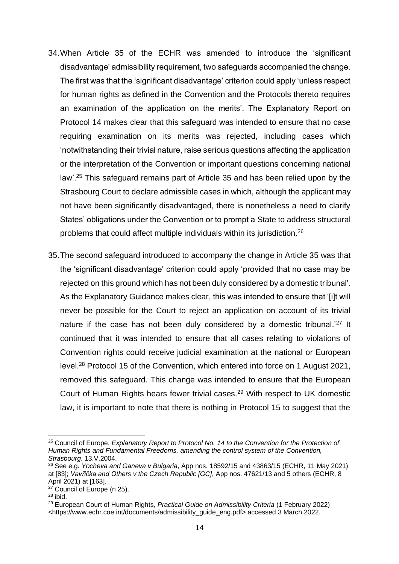- 34.When Article 35 of the ECHR was amended to introduce the 'significant disadvantage' admissibility requirement, two safeguards accompanied the change. The first was that the 'significant disadvantage' criterion could apply 'unless respect for human rights as defined in the Convention and the Protocols thereto requires an examination of the application on the merits'. The Explanatory Report on Protocol 14 makes clear that this safeguard was intended to ensure that no case requiring examination on its merits was rejected, including cases which 'notwithstanding their trivial nature, raise serious questions affecting the application or the interpretation of the Convention or important questions concerning national law'.<sup>25</sup> This safeguard remains part of Article 35 and has been relied upon by the Strasbourg Court to declare admissible cases in which, although the applicant may not have been significantly disadvantaged, there is nonetheless a need to clarify States' obligations under the Convention or to prompt a State to address structural problems that could affect multiple individuals within its jurisdiction.<sup>26</sup>
- <span id="page-13-0"></span>35.The second safeguard introduced to accompany the change in Article 35 was that the 'significant disadvantage' criterion could apply 'provided that no case may be rejected on this ground which has not been duly considered by a domestic tribunal'. As the Explanatory Guidance makes clear, this was intended to ensure that '[i]t will never be possible for the Court to reject an application on account of its trivial nature if the case has not been duly considered by a domestic tribunal.<sup>'27</sup> It continued that it was intended to ensure that all cases relating to violations of Convention rights could receive judicial examination at the national or European level.<sup>28</sup> Protocol 15 of the Convention, which entered into force on 1 August 2021, removed this safeguard. This change was intended to ensure that the European Court of Human Rights hears fewer trivial cases.<sup>29</sup> With respect to UK domestic law, it is important to note that there is nothing in Protocol 15 to suggest that the

<sup>&</sup>lt;sup>25</sup> Council of Europe, *Explanatory Report to Protocol No. 14 to the Convention for the Protection of Human Rights and Fundamental Freedoms, amending the control system of the Convention, Strasbourg*, 13.V.2004.

<sup>26</sup> See e.g. *Yocheva and Ganeva v Bulgaria*, App nos. [18592/15](https://hudoc.echr.coe.int/eng#{%22appno%22:[%2218592/15%22]}) and [43863/15](https://hudoc.echr.coe.int/eng#{%22appno%22:[%2243863/15%22]}) (ECHR, 11 May 2021) at [83]; *Vavřička and Others v the Czech Republic [GC]*, App nos. [47621/13](https://hudoc.echr.coe.int/eng#{%22appno%22:[%2247621/13%22]}) and 5 others (ECHR, 8 April 2021) at [163].

<sup>&</sup>lt;sup>27</sup> Council of Europe (n [25\)](#page-13-0).

<sup>28</sup> ibid.

<sup>29</sup> European Court of Human Rights, *Practical Guide on Admissibility Criteria* (1 February 2022) <https://www.echr.coe.int/documents/admissibility\_guide\_eng.pdf> accessed 3 March 2022.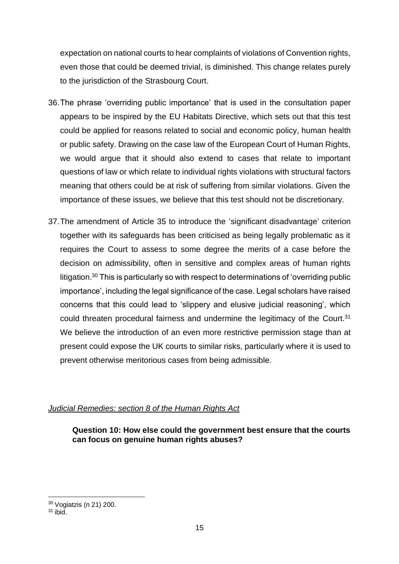expectation on national courts to hear complaints of violations of Convention rights, even those that could be deemed trivial, is diminished. This change relates purely to the jurisdiction of the Strasbourg Court.

- 36.The phrase 'overriding public importance' that is used in the consultation paper appears to be inspired by the EU Habitats Directive, which sets out that this test could be applied for reasons related to social and economic policy, human health or public safety. Drawing on the case law of the European Court of Human Rights, we would argue that it should also extend to cases that relate to important questions of law or which relate to individual rights violations with structural factors meaning that others could be at risk of suffering from similar violations. Given the importance of these issues, we believe that this test should not be discretionary.
- 37.The amendment of Article 35 to introduce the 'significant disadvantage' criterion together with its safeguards has been criticised as being legally problematic as it requires the Court to assess to some degree the merits of a case before the decision on admissibility, often in sensitive and complex areas of human rights litigation.<sup>30</sup> This is particularly so with respect to determinations of 'overriding public importance', including the legal significance of the case. Legal scholars have raised concerns that this could lead to 'slippery and elusive judicial reasoning', which could threaten procedural fairness and undermine the legitimacy of the Court.<sup>31</sup> We believe the introduction of an even more restrictive permission stage than at present could expose the UK courts to similar risks, particularly where it is used to prevent otherwise meritorious cases from being admissible.

# *Judicial Remedies: section 8 of the Human Rights Act*

# **Question 10: How else could the government best ensure that the courts can focus on genuine human rights abuses?**

<sup>30</sup> Vogiatzis (n [21\)](#page-10-0) 200.

 $31$  ibid.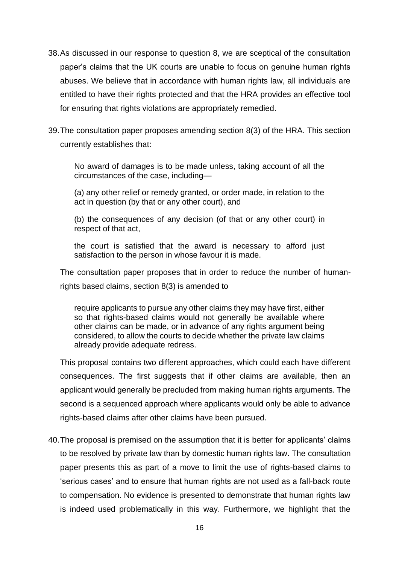- 38.As discussed in our response to question 8, we are sceptical of the consultation paper's claims that the UK courts are unable to focus on genuine human rights abuses. We believe that in accordance with human rights law, all individuals are entitled to have their rights protected and that the HRA provides an effective tool for ensuring that rights violations are appropriately remedied.
- 39.The consultation paper proposes amending section 8(3) of the HRA. This section currently establishes that:

No award of damages is to be made unless, taking account of all the circumstances of the case, including—

(a) any other relief or remedy granted, or order made, in relation to the act in question (by that or any other court), and

(b) the consequences of any decision (of that or any other court) in respect of that act,

the court is satisfied that the award is necessary to afford just satisfaction to the person in whose favour it is made.

The consultation paper proposes that in order to reduce the number of humanrights based claims, section 8(3) is amended to

require applicants to pursue any other claims they may have first, either so that rights-based claims would not generally be available where other claims can be made, or in advance of any rights argument being considered, to allow the courts to decide whether the private law claims already provide adequate redress.

This proposal contains two different approaches, which could each have different consequences. The first suggests that if other claims are available, then an applicant would generally be precluded from making human rights arguments. The second is a sequenced approach where applicants would only be able to advance rights-based claims after other claims have been pursued.

40.The proposal is premised on the assumption that it is better for applicants' claims to be resolved by private law than by domestic human rights law. The consultation paper presents this as part of a move to limit the use of rights-based claims to 'serious cases' and to ensure that human rights are not used as a fall-back route to compensation. No evidence is presented to demonstrate that human rights law is indeed used problematically in this way. Furthermore, we highlight that the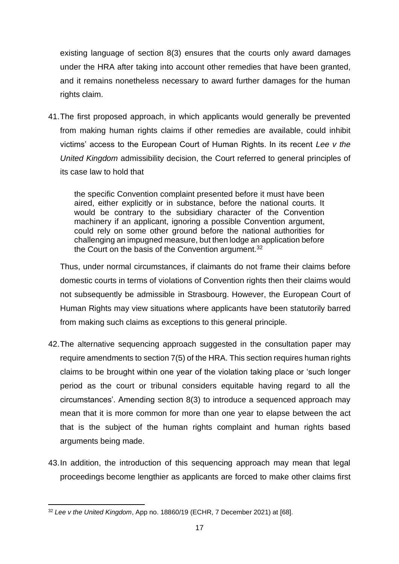existing language of section 8(3) ensures that the courts only award damages under the HRA after taking into account other remedies that have been granted, and it remains nonetheless necessary to award further damages for the human rights claim.

41.The first proposed approach, in which applicants would generally be prevented from making human rights claims if other remedies are available, could inhibit victims' access to the European Court of Human Rights. In its recent *Lee v the United Kingdom* admissibility decision, the Court referred to general principles of its case law to hold that

the specific Convention complaint presented before it must have been aired, either explicitly or in substance, before the national courts. It would be contrary to the subsidiary character of the Convention machinery if an applicant, ignoring a possible Convention argument, could rely on some other ground before the national authorities for challenging an impugned measure, but then lodge an application before the Court on the basis of the Convention argument.<sup>32</sup>

Thus, under normal circumstances, if claimants do not frame their claims before domestic courts in terms of violations of Convention rights then their claims would not subsequently be admissible in Strasbourg. However, the European Court of Human Rights may view situations where applicants have been statutorily barred from making such claims as exceptions to this general principle.

- 42.The alternative sequencing approach suggested in the consultation paper may require amendments to section 7(5) of the HRA. This section requires human rights claims to be brought within one year of the violation taking place or 'such longer period as the court or tribunal considers equitable having regard to all the circumstances'. Amending section 8(3) to introduce a sequenced approach may mean that it is more common for more than one year to elapse between the act that is the subject of the human rights complaint and human rights based arguments being made.
- 43.In addition, the introduction of this sequencing approach may mean that legal proceedings become lengthier as applicants are forced to make other claims first

<sup>32</sup> *Lee v the United Kingdom*, App no. 18860/19 (ECHR, 7 December 2021) at [68].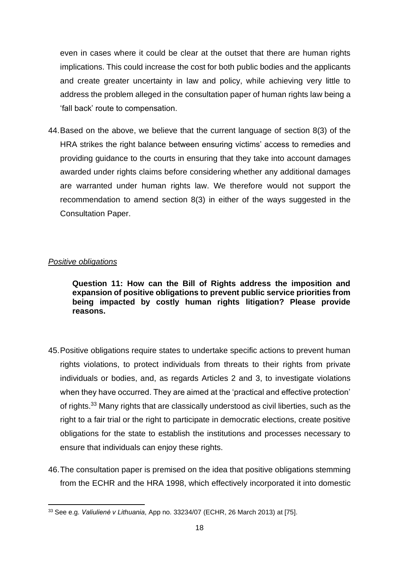even in cases where it could be clear at the outset that there are human rights implications. This could increase the cost for both public bodies and the applicants and create greater uncertainty in law and policy, while achieving very little to address the problem alleged in the consultation paper of human rights law being a 'fall back' route to compensation.

44.Based on the above, we believe that the current language of section 8(3) of the HRA strikes the right balance between ensuring victims' access to remedies and providing guidance to the courts in ensuring that they take into account damages awarded under rights claims before considering whether any additional damages are warranted under human rights law. We therefore would not support the recommendation to amend section 8(3) in either of the ways suggested in the Consultation Paper.

# *Positive obligations*

**Question 11: How can the Bill of Rights address the imposition and expansion of positive obligations to prevent public service priorities from being impacted by costly human rights litigation? Please provide reasons.**

- 45.Positive obligations require states to undertake specific actions to prevent human rights violations, to protect individuals from threats to their rights from private individuals or bodies, and, as regards Articles 2 and 3, to investigate violations when they have occurred. They are aimed at the 'practical and effective protection' of rights.<sup>33</sup> Many rights that are classically understood as civil liberties, such as the right to a fair trial or the right to participate in democratic elections, create positive obligations for the state to establish the institutions and processes necessary to ensure that individuals can enjoy these rights.
- 46.The consultation paper is premised on the idea that positive obligations stemming from the ECHR and the HRA 1998, which effectively incorporated it into domestic

<sup>33</sup> See e.g. *Valiulienė v Lithuania*, App no. 33234/07 (ECHR, 26 March 2013) at [75].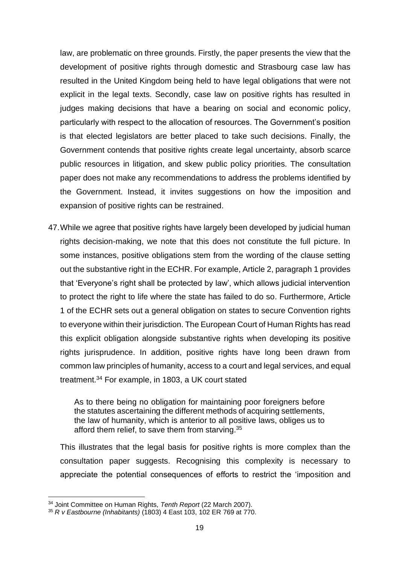law, are problematic on three grounds. Firstly, the paper presents the view that the development of positive rights through domestic and Strasbourg case law has resulted in the United Kingdom being held to have legal obligations that were not explicit in the legal texts. Secondly, case law on positive rights has resulted in judges making decisions that have a bearing on social and economic policy, particularly with respect to the allocation of resources. The Government's position is that elected legislators are better placed to take such decisions. Finally, the Government contends that positive rights create legal uncertainty, absorb scarce public resources in litigation, and skew public policy priorities. The consultation paper does not make any recommendations to address the problems identified by the Government. Instead, it invites suggestions on how the imposition and expansion of positive rights can be restrained.

47.While we agree that positive rights have largely been developed by judicial human rights decision-making, we note that this does not constitute the full picture. In some instances, positive obligations stem from the wording of the clause setting out the substantive right in the ECHR. For example, Article 2, paragraph 1 provides that 'Everyone's right shall be protected by law', which allows judicial intervention to protect the right to life where the state has failed to do so. Furthermore, Article 1 of the ECHR sets out a general obligation on states to secure Convention rights to everyone within their jurisdiction. The European Court of Human Rights has read this explicit obligation alongside substantive rights when developing its positive rights jurisprudence. In addition, positive rights have long been drawn from common law principles of humanity, access to a court and legal services, and equal treatment.<sup>34</sup> For example, in 1803, a UK court stated

As to there being no obligation for maintaining poor foreigners before the statutes ascertaining the different methods of acquiring settlements, the law of humanity, which is anterior to all positive laws, obliges us to afford them relief, to save them from starving.<sup>35</sup>

This illustrates that the legal basis for positive rights is more complex than the consultation paper suggests. Recognising this complexity is necessary to appreciate the potential consequences of efforts to restrict the 'imposition and

<sup>34</sup> Joint Committee on Human Rights, *Tenth Report* (22 March 2007).

<sup>35</sup> *R v Eastbourne (Inhabitants)* (1803) 4 East 103, 102 ER 769 at 770.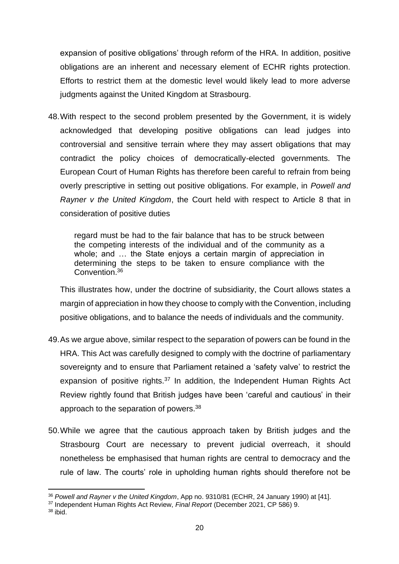expansion of positive obligations' through reform of the HRA. In addition, positive obligations are an inherent and necessary element of ECHR rights protection. Efforts to restrict them at the domestic level would likely lead to more adverse judgments against the United Kingdom at Strasbourg.

48.With respect to the second problem presented by the Government, it is widely acknowledged that developing positive obligations can lead judges into controversial and sensitive terrain where they may assert obligations that may contradict the policy choices of democratically-elected governments. The European Court of Human Rights has therefore been careful to refrain from being overly prescriptive in setting out positive obligations. For example, in *Powell and Rayner v the United Kingdom*, the Court held with respect to Article 8 that in consideration of positive duties

regard must be had to the fair balance that has to be struck between the competing interests of the individual and of the community as a whole; and ... the State enjoys a certain margin of appreciation in determining the steps to be taken to ensure compliance with the Convention.<sup>36</sup>

This illustrates how, under the doctrine of subsidiarity, the Court allows states a margin of appreciation in how they choose to comply with the Convention, including positive obligations, and to balance the needs of individuals and the community.

- <span id="page-19-0"></span>49.As we argue above, similar respect to the separation of powers can be found in the HRA. This Act was carefully designed to comply with the doctrine of parliamentary sovereignty and to ensure that Parliament retained a 'safety valve' to restrict the expansion of positive rights.<sup>37</sup> In addition, the Independent Human Rights Act Review rightly found that British judges have been 'careful and cautious' in their approach to the separation of powers.<sup>38</sup>
- 50.While we agree that the cautious approach taken by British judges and the Strasbourg Court are necessary to prevent judicial overreach, it should nonetheless be emphasised that human rights are central to democracy and the rule of law. The courts' role in upholding human rights should therefore not be

<sup>36</sup> *Powell and Rayner v the United Kingdom*, App no. 9310/81 (ECHR, 24 January 1990) at [41].

<sup>37</sup> Independent Human Rights Act Review, *Final Report* (December 2021, CP 586) 9.

 $38$  ibid.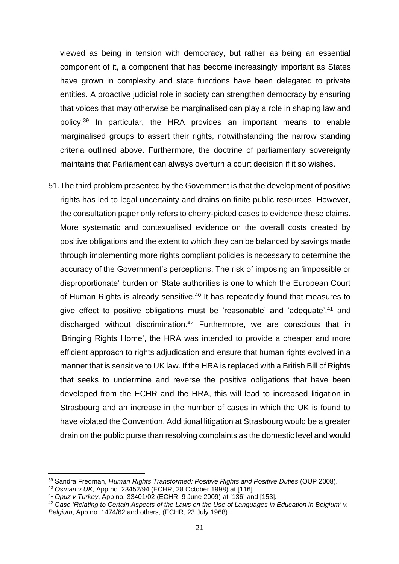viewed as being in tension with democracy, but rather as being an essential component of it, a component that has become increasingly important as States have grown in complexity and state functions have been delegated to private entities. A proactive judicial role in society can strengthen democracy by ensuring that voices that may otherwise be marginalised can play a role in shaping law and policy.<sup>39</sup> In particular, the HRA provides an important means to enable marginalised groups to assert their rights, notwithstanding the narrow standing criteria outlined above. Furthermore, the doctrine of parliamentary sovereignty maintains that Parliament can always overturn a court decision if it so wishes.

51.The third problem presented by the Government is that the development of positive rights has led to legal uncertainty and drains on finite public resources. However, the consultation paper only refers to cherry-picked cases to evidence these claims. More systematic and contexualised evidence on the overall costs created by positive obligations and the extent to which they can be balanced by savings made through implementing more rights compliant policies is necessary to determine the accuracy of the Government's perceptions. The risk of imposing an 'impossible or disproportionate' burden on State authorities is one to which the European Court of Human Rights is already sensitive.<sup>40</sup> It has repeatedly found that measures to give effect to positive obligations must be 'reasonable' and 'adequate',<sup>41</sup> and discharged without discrimination.<sup>42</sup> Furthermore, we are conscious that in 'Bringing Rights Home', the HRA was intended to provide a cheaper and more efficient approach to rights adjudication and ensure that human rights evolved in a manner that is sensitive to UK law. If the HRA is replaced with a British Bill of Rights that seeks to undermine and reverse the positive obligations that have been developed from the ECHR and the HRA, this will lead to increased litigation in Strasbourg and an increase in the number of cases in which the UK is found to have violated the Convention. Additional litigation at Strasbourg would be a greater drain on the public purse than resolving complaints as the domestic level and would

<sup>39</sup> Sandra Fredman, *Human Rights Transformed: Positive Rights and Positive Duties* (OUP 2008).

<sup>40</sup> *Osman v UK,* App no. [23452/94](https://hudoc.echr.coe.int/eng#{%22appno%22:[%2223452/94%22]}) (ECHR, 28 October 1998) at [116].

<sup>41</sup> *Opuz v Turkey*, App no. [33401/02](https://hudoc.echr.coe.int/eng#{%22appno%22:[%2233401/02%22]}) (ECHR, 9 June 2009) at [136] and [153].

<sup>&</sup>lt;sup>42</sup> Case 'Relating to Certain Aspects of the Laws on the Use of Languages in Education in Belgium' v. *Belgium*, App no. 1474/62 and others, (ECHR, 23 July 1968).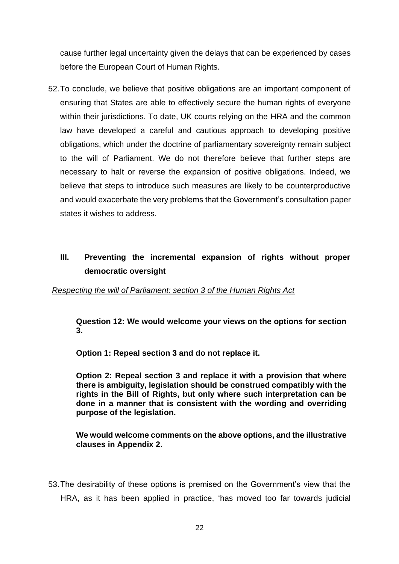cause further legal uncertainty given the delays that can be experienced by cases before the European Court of Human Rights.

52.To conclude, we believe that positive obligations are an important component of ensuring that States are able to effectively secure the human rights of everyone within their jurisdictions. To date, UK courts relying on the HRA and the common law have developed a careful and cautious approach to developing positive obligations, which under the doctrine of parliamentary sovereignty remain subject to the will of Parliament. We do not therefore believe that further steps are necessary to halt or reverse the expansion of positive obligations. Indeed, we believe that steps to introduce such measures are likely to be counterproductive and would exacerbate the very problems that the Government's consultation paper states it wishes to address.

# **III. Preventing the incremental expansion of rights without proper democratic oversight**

### *Respecting the will of Parliament: section 3 of the Human Rights Act*

**Question 12: We would welcome your views on the options for section 3.** 

**Option 1: Repeal section 3 and do not replace it.**

**Option 2: Repeal section 3 and replace it with a provision that where there is ambiguity, legislation should be construed compatibly with the rights in the Bill of Rights, but only where such interpretation can be done in a manner that is consistent with the wording and overriding purpose of the legislation.**

**We would welcome comments on the above options, and the illustrative clauses in Appendix 2.**

53.The desirability of these options is premised on the Government's view that the HRA, as it has been applied in practice, 'has moved too far towards judicial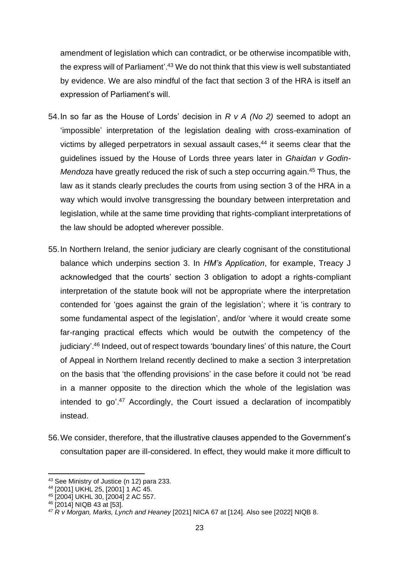amendment of legislation which can contradict, or be otherwise incompatible with, the express will of Parliament'. <sup>43</sup> We do not think that this view is well substantiated by evidence. We are also mindful of the fact that section 3 of the HRA is itself an expression of Parliament's will.

- 54.In so far as the House of Lords' decision in *R v A (No 2)* seemed to adopt an 'impossible' interpretation of the legislation dealing with cross-examination of victims by alleged perpetrators in sexual assault cases,<sup>44</sup> it seems clear that the guidelines issued by the House of Lords three years later in *Ghaidan v Godin-Mendoza* have greatly reduced the risk of such a step occurring again.<sup>45</sup> Thus, the law as it stands clearly precludes the courts from using section 3 of the HRA in a way which would involve transgressing the boundary between interpretation and legislation, while at the same time providing that rights-compliant interpretations of the law should be adopted wherever possible.
- 55.In Northern Ireland, the senior judiciary are clearly cognisant of the constitutional balance which underpins section 3. In *HM's Application*, for example, Treacy J acknowledged that the courts' section 3 obligation to adopt a rights-compliant interpretation of the statute book will not be appropriate where the interpretation contended for 'goes against the grain of the legislation'; where it 'is contrary to some fundamental aspect of the legislation', and/or 'where it would create some far-ranging practical effects which would be outwith the competency of the judiciary'.<sup>46</sup> Indeed, out of respect towards 'boundary lines' of this nature, the Court of Appeal in Northern Ireland recently declined to make a section 3 interpretation on the basis that 'the offending provisions' in the case before it could not 'be read in a manner opposite to the direction which the whole of the legislation was intended to go'. <sup>47</sup> Accordingly, the Court issued a declaration of incompatibly instead.
- 56.We consider, therefore, that the illustrative clauses appended to the Government's consultation paper are ill-considered. In effect, they would make it more difficult to

<sup>43</sup> See Ministry of Justice (n [12\)](#page-8-1) para 233.

<sup>44</sup> [2001] UKHL 25, [2001] 1 AC 45.

<sup>45</sup> [2004] UKHL 30, [2004] 2 AC 557.

<sup>46</sup> [2014] NIQB 43 at [53].

<sup>47</sup> *R v Morgan, Marks, Lynch and Heaney* [2021] NICA 67 at [124]. Also see [2022] NIQB 8.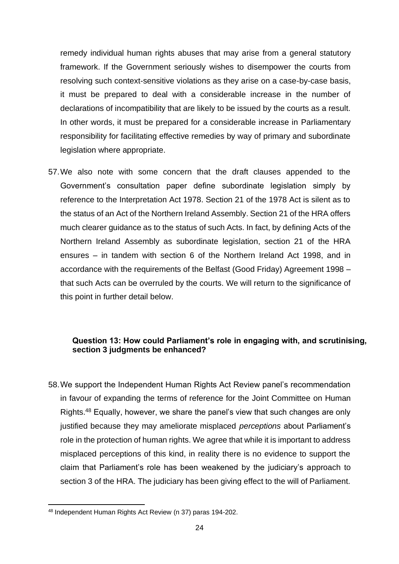remedy individual human rights abuses that may arise from a general statutory framework. If the Government seriously wishes to disempower the courts from resolving such context-sensitive violations as they arise on a case-by-case basis, it must be prepared to deal with a considerable increase in the number of declarations of incompatibility that are likely to be issued by the courts as a result. In other words, it must be prepared for a considerable increase in Parliamentary responsibility for facilitating effective remedies by way of primary and subordinate legislation where appropriate.

57.We also note with some concern that the draft clauses appended to the Government's consultation paper define subordinate legislation simply by reference to the Interpretation Act 1978. Section 21 of the 1978 Act is silent as to the status of an Act of the Northern Ireland Assembly. Section 21 of the HRA offers much clearer guidance as to the status of such Acts. In fact, by defining Acts of the Northern Ireland Assembly as subordinate legislation, section 21 of the HRA ensures – in tandem with section 6 of the Northern Ireland Act 1998, and in accordance with the requirements of the Belfast (Good Friday) Agreement 1998 – that such Acts can be overruled by the courts. We will return to the significance of this point in further detail below.

# **Question 13: How could Parliament's role in engaging with, and scrutinising, section 3 judgments be enhanced?**

58.We support the Independent Human Rights Act Review panel's recommendation in favour of expanding the terms of reference for the Joint Committee on Human Rights.<sup>48</sup> Equally, however, we share the panel's view that such changes are only justified because they may ameliorate misplaced *perceptions* about Parliament's role in the protection of human rights. We agree that while it is important to address misplaced perceptions of this kind, in reality there is no evidence to support the claim that Parliament's role has been weakened by the judiciary's approach to section 3 of the HRA. The judiciary has been giving effect to the will of Parliament.

<sup>48</sup> Independent Human Rights Act Review (n [37\)](#page-19-0) paras 194-202.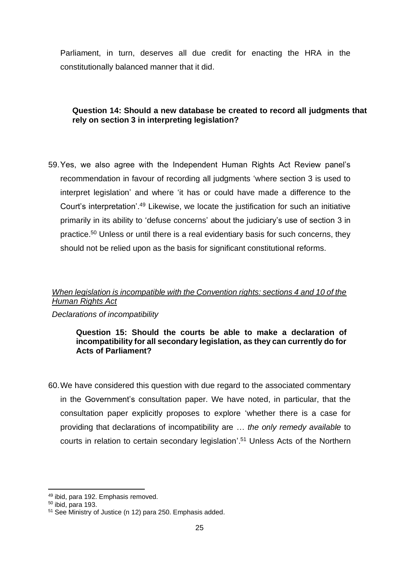Parliament, in turn, deserves all due credit for enacting the HRA in the constitutionally balanced manner that it did.

# **Question 14: Should a new database be created to record all judgments that rely on section 3 in interpreting legislation?**

59.Yes, we also agree with the Independent Human Rights Act Review panel's recommendation in favour of recording all judgments 'where section 3 is used to interpret legislation' and where 'it has or could have made a difference to the Court's interpretation'. <sup>49</sup> Likewise, we locate the justification for such an initiative primarily in its ability to 'defuse concerns' about the judiciary's use of section 3 in practice.<sup>50</sup> Unless or until there is a real evidentiary basis for such concerns, they should not be relied upon as the basis for significant constitutional reforms.

# *When legislation is incompatible with the Convention rights: sections 4 and 10 of the Human Rights Act*

*Declarations of incompatibility* 

### **Question 15: Should the courts be able to make a declaration of incompatibility for all secondary legislation, as they can currently do for Acts of Parliament?**

60.We have considered this question with due regard to the associated commentary in the Government's consultation paper. We have noted, in particular, that the consultation paper explicitly proposes to explore 'whether there is a case for providing that declarations of incompatibility are … *the only remedy available* to courts in relation to certain secondary legislation'. <sup>51</sup> Unless Acts of the Northern

<sup>49</sup> ibid, para 192. Emphasis removed.

 $50$  ibid, para 193.

<sup>51</sup> See Ministry of Justice (n [12\)](#page-8-1) para 250. Emphasis added.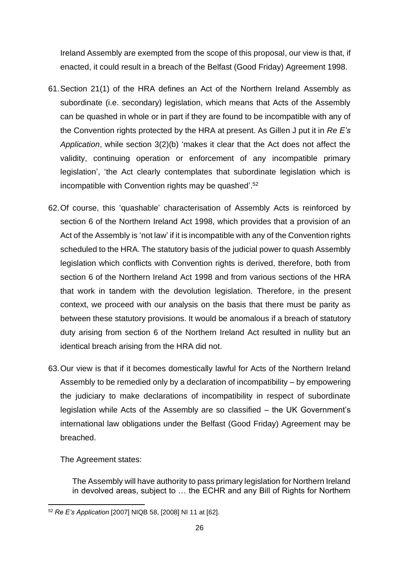Ireland Assembly are exempted from the scope of this proposal, our view is that, if enacted, it could result in a breach of the Belfast (Good Friday) Agreement 1998.

- 61.Section 21(1) of the HRA defines an Act of the Northern Ireland Assembly as subordinate (i.e. secondary) legislation, which means that Acts of the Assembly can be quashed in whole or in part if they are found to be incompatible with any of the Convention rights protected by the HRA at present. As Gillen J put it in *Re E's Application*, while section 3(2)(b) 'makes it clear that the Act does not affect the validity, continuing operation or enforcement of any incompatible primary legislation', 'the Act clearly contemplates that subordinate legislation which is incompatible with Convention rights may be quashed'. 52
- 62.Of course, this 'quashable' characterisation of Assembly Acts is reinforced by section 6 of the Northern Ireland Act 1998, which provides that a provision of an Act of the Assembly is 'not law' if it is incompatible with any of the Convention rights scheduled to the HRA. The statutory basis of the judicial power to quash Assembly legislation which conflicts with Convention rights is derived, therefore, both from section 6 of the Northern Ireland Act 1998 and from various sections of the HRA that work in tandem with the devolution legislation. Therefore, in the present context, we proceed with our analysis on the basis that there must be parity as between these statutory provisions. It would be anomalous if a breach of statutory duty arising from section 6 of the Northern Ireland Act resulted in nullity but an identical breach arising from the HRA did not.
- 63.Our view is that if it becomes domestically lawful for Acts of the Northern Ireland Assembly to be remedied only by a declaration of incompatibility – by empowering the judiciary to make declarations of incompatibility in respect of subordinate legislation while Acts of the Assembly are so classified – the UK Government's international law obligations under the Belfast (Good Friday) Agreement may be breached.

The Agreement states:

The Assembly will have authority to pass primary legislation for Northern Ireland in devolved areas, subject to … the ECHR and any Bill of Rights for Northern

<sup>52</sup> *Re E's Application* [2007] NIQB 58, [2008] NI 11 at [62].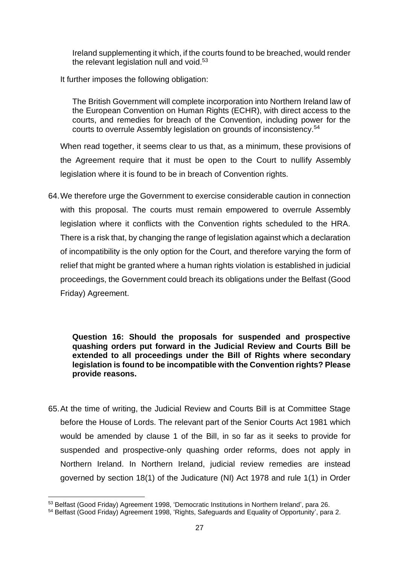Ireland supplementing it which, if the courts found to be breached, would render the relevant legislation null and void.<sup>53</sup>

It further imposes the following obligation:

The British Government will complete incorporation into Northern Ireland law of the European Convention on Human Rights (ECHR), with direct access to the courts, and remedies for breach of the Convention, including power for the courts to overrule Assembly legislation on grounds of inconsistency.<sup>54</sup>

When read together, it seems clear to us that, as a minimum, these provisions of the Agreement require that it must be open to the Court to nullify Assembly legislation where it is found to be in breach of Convention rights.

64.We therefore urge the Government to exercise considerable caution in connection with this proposal. The courts must remain empowered to overrule Assembly legislation where it conflicts with the Convention rights scheduled to the HRA. There is a risk that, by changing the range of legislation against which a declaration of incompatibility is the only option for the Court, and therefore varying the form of relief that might be granted where a human rights violation is established in judicial proceedings, the Government could breach its obligations under the Belfast (Good Friday) Agreement.

## **Question 16: Should the proposals for suspended and prospective quashing orders put forward in the Judicial Review and Courts Bill be extended to all proceedings under the Bill of Rights where secondary legislation is found to be incompatible with the Convention rights? Please provide reasons.**

65.At the time of writing, the Judicial Review and Courts Bill is at Committee Stage before the House of Lords. The relevant part of the Senior Courts Act 1981 which would be amended by clause 1 of the Bill, in so far as it seeks to provide for suspended and prospective-only quashing order reforms, does not apply in Northern Ireland. In Northern Ireland, judicial review remedies are instead governed by section 18(1) of the Judicature (NI) Act 1978 and rule 1(1) in Order

<sup>53</sup> Belfast (Good Friday) Agreement 1998, 'Democratic Institutions in Northern Ireland', para 26.

<sup>54</sup> Belfast (Good Friday) Agreement 1998, 'Rights, Safeguards and Equality of Opportunity', para 2.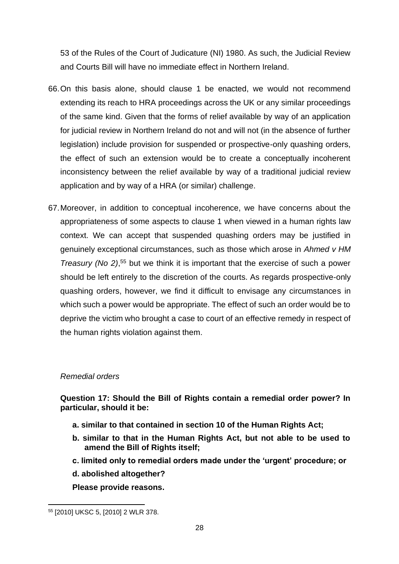53 of the Rules of the Court of Judicature (NI) 1980. As such, the Judicial Review and Courts Bill will have no immediate effect in Northern Ireland.

- 66.On this basis alone, should clause 1 be enacted, we would not recommend extending its reach to HRA proceedings across the UK or any similar proceedings of the same kind. Given that the forms of relief available by way of an application for judicial review in Northern Ireland do not and will not (in the absence of further legislation) include provision for suspended or prospective-only quashing orders, the effect of such an extension would be to create a conceptually incoherent inconsistency between the relief available by way of a traditional judicial review application and by way of a HRA (or similar) challenge.
- 67.Moreover, in addition to conceptual incoherence, we have concerns about the appropriateness of some aspects to clause 1 when viewed in a human rights law context. We can accept that suspended quashing orders may be justified in genuinely exceptional circumstances, such as those which arose in *Ahmed v HM Treasury (No 2)*, <sup>55</sup> but we think it is important that the exercise of such a power should be left entirely to the discretion of the courts. As regards prospective-only quashing orders, however, we find it difficult to envisage any circumstances in which such a power would be appropriate. The effect of such an order would be to deprive the victim who brought a case to court of an effective remedy in respect of the human rights violation against them.

### *Remedial orders*

**Question 17: Should the Bill of Rights contain a remedial order power? In particular, should it be:** 

- **a. similar to that contained in section 10 of the Human Rights Act;**
- **b. similar to that in the Human Rights Act, but not able to be used to amend the Bill of Rights itself;**
- **c. limited only to remedial orders made under the 'urgent' procedure; or**
- **d. abolished altogether?**

**Please provide reasons.**

<sup>55</sup> [2010] UKSC 5, [2010] 2 WLR 378.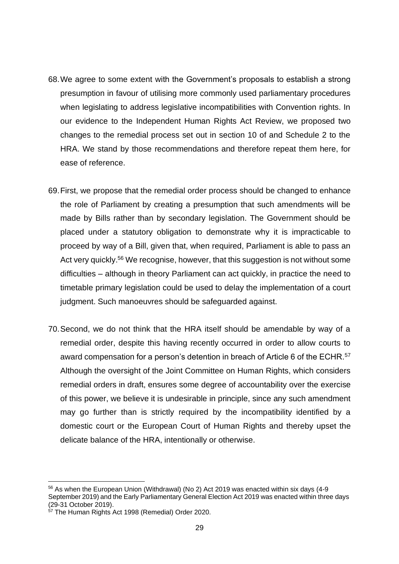- 68.We agree to some extent with the Government's proposals to establish a strong presumption in favour of utilising more commonly used parliamentary procedures when legislating to address legislative incompatibilities with Convention rights. In our evidence to the Independent Human Rights Act Review, we proposed two changes to the remedial process set out in section 10 of and Schedule 2 to the HRA. We stand by those recommendations and therefore repeat them here, for ease of reference.
- 69.First, we propose that the remedial order process should be changed to enhance the role of Parliament by creating a presumption that such amendments will be made by Bills rather than by secondary legislation. The Government should be placed under a statutory obligation to demonstrate why it is impracticable to proceed by way of a Bill, given that, when required, Parliament is able to pass an Act very quickly.<sup>56</sup> We recognise, however, that this suggestion is not without some difficulties – although in theory Parliament can act quickly, in practice the need to timetable primary legislation could be used to delay the implementation of a court judgment. Such manoeuvres should be safeguarded against.
- 70.Second, we do not think that the HRA itself should be amendable by way of a remedial order, despite this having recently occurred in order to allow courts to award compensation for a person's detention in breach of Article 6 of the ECHR.<sup>57</sup> Although the oversight of the Joint Committee on Human Rights, which considers remedial orders in draft, ensures some degree of accountability over the exercise of this power, we believe it is undesirable in principle, since any such amendment may go further than is strictly required by the incompatibility identified by a domestic court or the European Court of Human Rights and thereby upset the delicate balance of the HRA, intentionally or otherwise.

<sup>56</sup> As when the European Union (Withdrawal) (No 2) Act 2019 was enacted within six days (4-9 September 2019) and the Early Parliamentary General Election Act 2019 was enacted within three days (29-31 October 2019).

<sup>&</sup>lt;sup>57</sup> The Human Rights Act 1998 (Remedial) Order 2020.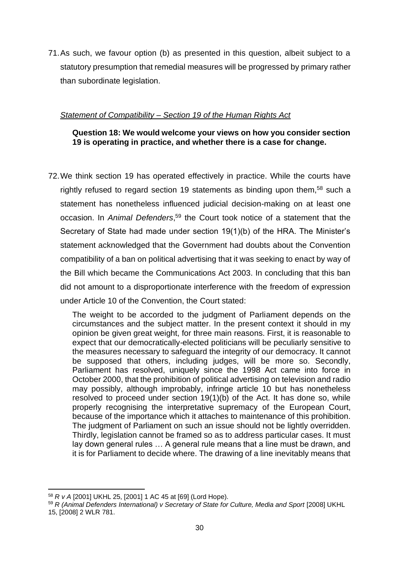71.As such, we favour option (b) as presented in this question, albeit subject to a statutory presumption that remedial measures will be progressed by primary rather than subordinate legislation.

# *Statement of Compatibility – Section 19 of the Human Rights Act*

# **Question 18: We would welcome your views on how you consider section 19 is operating in practice, and whether there is a case for change.**

72.We think section 19 has operated effectively in practice. While the courts have rightly refused to regard section 19 statements as binding upon them,<sup>58</sup> such a statement has nonetheless influenced judicial decision-making on at least one occasion. In *Animal Defenders*, <sup>59</sup> the Court took notice of a statement that the Secretary of State had made under section 19(1)(b) of the HRA. The Minister's statement acknowledged that the Government had doubts about the Convention compatibility of a ban on political advertising that it was seeking to enact by way of the Bill which became the Communications Act 2003. In concluding that this ban did not amount to a disproportionate interference with the freedom of expression under Article 10 of the Convention, the Court stated:

The weight to be accorded to the judgment of Parliament depends on the circumstances and the subject matter. In the present context it should in my opinion be given great weight, for three main reasons. First, it is reasonable to expect that our democratically-elected politicians will be peculiarly sensitive to the measures necessary to safeguard the integrity of our democracy. It cannot be supposed that others, including judges, will be more so. Secondly, Parliament has resolved, uniquely since the 1998 Act came into force in October 2000, that the prohibition of political advertising on television and radio may possibly, although improbably, infringe article 10 but has nonetheless resolved to proceed under section 19(1)(b) of the Act. It has done so, while properly recognising the interpretative supremacy of the European Court, because of the importance which it attaches to maintenance of this prohibition. The judgment of Parliament on such an issue should not be lightly overridden. Thirdly, legislation cannot be framed so as to address particular cases. It must lay down general rules … A general rule means that a line must be drawn, and it is for Parliament to decide where. The drawing of a line inevitably means that

<sup>58</sup> *R v A* [2001] UKHL 25, [2001] 1 AC 45 at [69] (Lord Hope).

<sup>&</sup>lt;sup>59</sup> *R (Animal Defenders International) v Secretary of State for Culture, Media and Sport [2008] UKHL* 15, [2008] 2 WLR 781.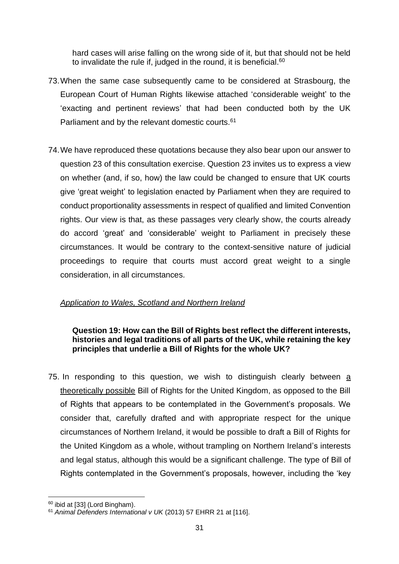hard cases will arise falling on the wrong side of it, but that should not be held to invalidate the rule if, judged in the round, it is beneficial.<sup>60</sup>

- 73.When the same case subsequently came to be considered at Strasbourg, the European Court of Human Rights likewise attached 'considerable weight' to the 'exacting and pertinent reviews' that had been conducted both by the UK Parliament and by the relevant domestic courts.<sup>61</sup>
- 74.We have reproduced these quotations because they also bear upon our answer to question 23 of this consultation exercise. Question 23 invites us to express a view on whether (and, if so, how) the law could be changed to ensure that UK courts give 'great weight' to legislation enacted by Parliament when they are required to conduct proportionality assessments in respect of qualified and limited Convention rights. Our view is that, as these passages very clearly show, the courts already do accord 'great' and 'considerable' weight to Parliament in precisely these circumstances. It would be contrary to the context-sensitive nature of judicial proceedings to require that courts must accord great weight to a single consideration, in all circumstances.

# *Application to Wales, Scotland and Northern Ireland*

# **Question 19: How can the Bill of Rights best reflect the different interests, histories and legal traditions of all parts of the UK, while retaining the key principles that underlie a Bill of Rights for the whole UK?**

75. In responding to this question, we wish to distinguish clearly between a theoretically possible Bill of Rights for the United Kingdom, as opposed to the Bill of Rights that appears to be contemplated in the Government's proposals. We consider that, carefully drafted and with appropriate respect for the unique circumstances of Northern Ireland, it would be possible to draft a Bill of Rights for the United Kingdom as a whole, without trampling on Northern Ireland's interests and legal status, although this would be a significant challenge. The type of Bill of Rights contemplated in the Government's proposals, however, including the 'key

<sup>60</sup> ibid at [33] (Lord Bingham).

<sup>61</sup> *Animal Defenders International v UK* (2013) 57 EHRR 21 at [116].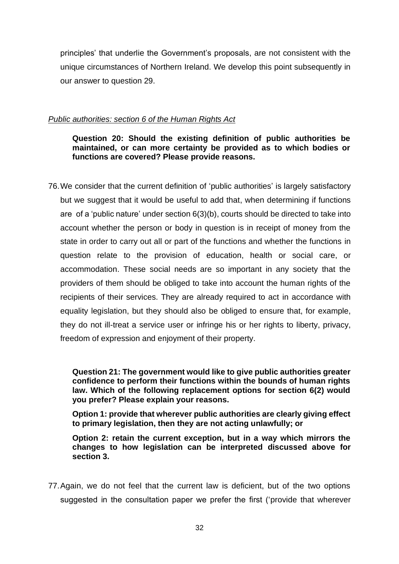principles' that underlie the Government's proposals, are not consistent with the unique circumstances of Northern Ireland. We develop this point subsequently in our answer to question 29.

### *Public authorities: section 6 of the Human Rights Act*

**Question 20: Should the existing definition of public authorities be maintained, or can more certainty be provided as to which bodies or functions are covered? Please provide reasons.**

76.We consider that the current definition of 'public authorities' is largely satisfactory but we suggest that it would be useful to add that, when determining if functions are of a 'public nature' under section 6(3)(b), courts should be directed to take into account whether the person or body in question is in receipt of money from the state in order to carry out all or part of the functions and whether the functions in question relate to the provision of education, health or social care, or accommodation. These social needs are so important in any society that the providers of them should be obliged to take into account the human rights of the recipients of their services. They are already required to act in accordance with equality legislation, but they should also be obliged to ensure that, for example, they do not ill-treat a service user or infringe his or her rights to liberty, privacy, freedom of expression and enjoyment of their property.

**Question 21: The government would like to give public authorities greater confidence to perform their functions within the bounds of human rights law. Which of the following replacement options for section 6(2) would you prefer? Please explain your reasons.** 

**Option 1: provide that wherever public authorities are clearly giving effect to primary legislation, then they are not acting unlawfully; or**

**Option 2: retain the current exception, but in a way which mirrors the changes to how legislation can be interpreted discussed above for section 3.**

77.Again, we do not feel that the current law is deficient, but of the two options suggested in the consultation paper we prefer the first ('provide that wherever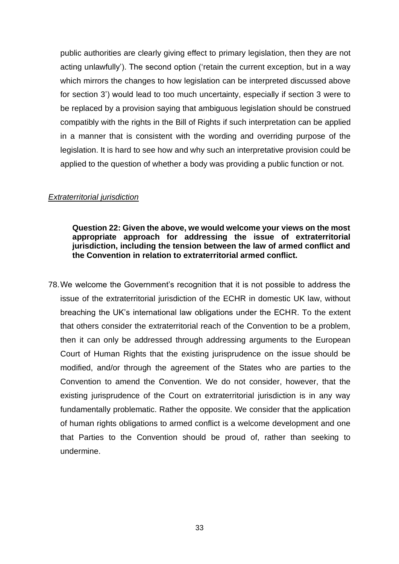public authorities are clearly giving effect to primary legislation, then they are not acting unlawfully'). The second option ('retain the current exception, but in a way which mirrors the changes to how legislation can be interpreted discussed above for section 3') would lead to too much uncertainty, especially if section 3 were to be replaced by a provision saying that ambiguous legislation should be construed compatibly with the rights in the Bill of Rights if such interpretation can be applied in a manner that is consistent with the wording and overriding purpose of the legislation. It is hard to see how and why such an interpretative provision could be applied to the question of whether a body was providing a public function or not.

#### *Extraterritorial jurisdiction*

**Question 22: Given the above, we would welcome your views on the most appropriate approach for addressing the issue of extraterritorial jurisdiction, including the tension between the law of armed conflict and the Convention in relation to extraterritorial armed conflict.**

78.We welcome the Government's recognition that it is not possible to address the issue of the extraterritorial jurisdiction of the ECHR in domestic UK law, without breaching the UK's international law obligations under the ECHR. To the extent that others consider the extraterritorial reach of the Convention to be a problem, then it can only be addressed through addressing arguments to the European Court of Human Rights that the existing jurisprudence on the issue should be modified, and/or through the agreement of the States who are parties to the Convention to amend the Convention. We do not consider, however, that the existing jurisprudence of the Court on extraterritorial jurisdiction is in any way fundamentally problematic. Rather the opposite. We consider that the application of human rights obligations to armed conflict is a welcome development and one that Parties to the Convention should be proud of, rather than seeking to undermine.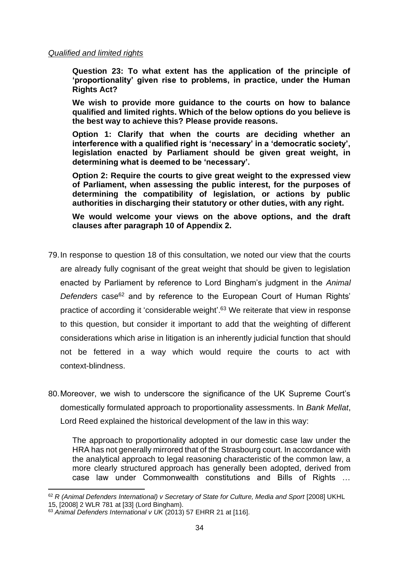#### *Qualified and limited rights*

**Question 23: To what extent has the application of the principle of 'proportionality' given rise to problems, in practice, under the Human Rights Act?** 

**We wish to provide more guidance to the courts on how to balance qualified and limited rights. Which of the below options do you believe is the best way to achieve this? Please provide reasons.** 

**Option 1: Clarify that when the courts are deciding whether an interference with a qualified right is 'necessary' in a 'democratic society', legislation enacted by Parliament should be given great weight, in determining what is deemed to be 'necessary'.** 

**Option 2: Require the courts to give great weight to the expressed view of Parliament, when assessing the public interest, for the purposes of determining the compatibility of legislation, or actions by public authorities in discharging their statutory or other duties, with any right.** 

**We would welcome your views on the above options, and the draft clauses after paragraph 10 of Appendix 2.**

- 79.In response to question 18 of this consultation, we noted our view that the courts are already fully cognisant of the great weight that should be given to legislation enacted by Parliament by reference to Lord Bingham's judgment in the *Animal Defenders* case <sup>62</sup> and by reference to the European Court of Human Rights' practice of according it 'considerable weight'.<sup>63</sup> We reiterate that view in response to this question, but consider it important to add that the weighting of different considerations which arise in litigation is an inherently judicial function that should not be fettered in a way which would require the courts to act with context-blindness.
- 80.Moreover, we wish to underscore the significance of the UK Supreme Court's domestically formulated approach to proportionality assessments. In *Bank Mellat*, Lord Reed explained the historical development of the law in this way:

The approach to proportionality adopted in our domestic case law under the HRA has not generally mirrored that of the Strasbourg court. In accordance with the analytical approach to legal reasoning characteristic of the common law, a more clearly structured approach has generally been adopted, derived from case law under Commonwealth constitutions and Bills of Rights …

<sup>&</sup>lt;sup>62</sup> *R (Animal Defenders International) v Secretary of State for Culture, Media and Sport* [2008] UKHL 15, [2008] 2 WLR 781 at [33] (Lord Bingham).

<sup>63</sup> *Animal Defenders International v UK* (2013) 57 EHRR 21 at [116].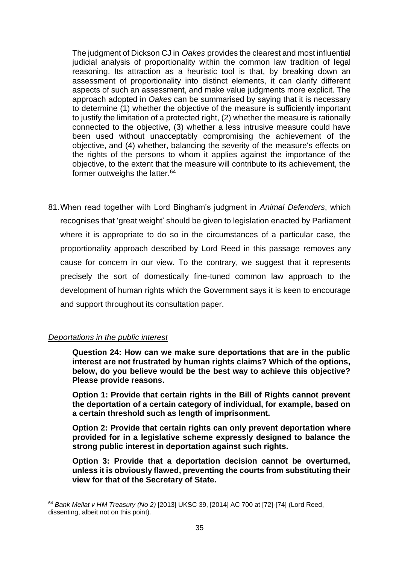The judgment of Dickson CJ in *Oakes* provides the clearest and most influential judicial analysis of proportionality within the common law tradition of legal reasoning. Its attraction as a heuristic tool is that, by breaking down an assessment of proportionality into distinct elements, it can clarify different aspects of such an assessment, and make value judgments more explicit. The approach adopted in *Oakes* can be summarised by saying that it is necessary to determine (1) whether the objective of the measure is sufficiently important to justify the limitation of a protected right, (2) whether the measure is rationally connected to the objective, (3) whether a less intrusive measure could have been used without unacceptably compromising the achievement of the objective, and (4) whether, balancing the severity of the measure's effects on the rights of the persons to whom it applies against the importance of the objective, to the extent that the measure will contribute to its achievement, the former outweighs the latter.<sup>64</sup>

81.When read together with Lord Bingham's judgment in *Animal Defenders*, which recognises that 'great weight' should be given to legislation enacted by Parliament where it is appropriate to do so in the circumstances of a particular case, the proportionality approach described by Lord Reed in this passage removes any cause for concern in our view. To the contrary, we suggest that it represents precisely the sort of domestically fine-tuned common law approach to the development of human rights which the Government says it is keen to encourage and support throughout its consultation paper.

# *Deportations in the public interest*

**Question 24: How can we make sure deportations that are in the public interest are not frustrated by human rights claims? Which of the options, below, do you believe would be the best way to achieve this objective? Please provide reasons.**

**Option 1: Provide that certain rights in the Bill of Rights cannot prevent the deportation of a certain category of individual, for example, based on a certain threshold such as length of imprisonment.**

**Option 2: Provide that certain rights can only prevent deportation where provided for in a legislative scheme expressly designed to balance the strong public interest in deportation against such rights.**

**Option 3: Provide that a deportation decision cannot be overturned, unless it is obviously flawed, preventing the courts from substituting their view for that of the Secretary of State.**

<sup>64</sup> *Bank Mellat v HM Treasury (No 2)* [2013] UKSC 39, [2014] AC 700 at [72]-[74] (Lord Reed, dissenting, albeit not on this point).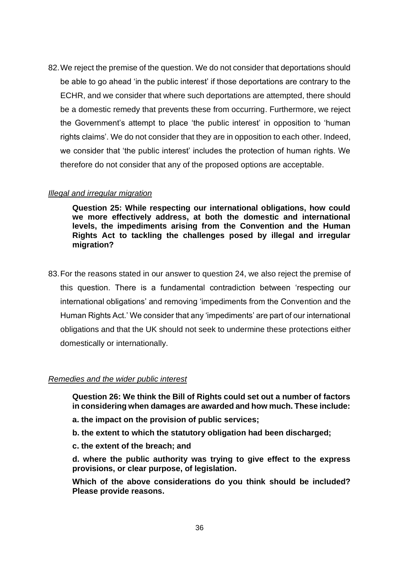82.We reject the premise of the question. We do not consider that deportations should be able to go ahead 'in the public interest' if those deportations are contrary to the ECHR, and we consider that where such deportations are attempted, there should be a domestic remedy that prevents these from occurring. Furthermore, we reject the Government's attempt to place 'the public interest' in opposition to 'human rights claims'. We do not consider that they are in opposition to each other. Indeed, we consider that 'the public interest' includes the protection of human rights. We therefore do not consider that any of the proposed options are acceptable.

#### *Illegal and irregular migration*

**Question 25: While respecting our international obligations, how could we more effectively address, at both the domestic and international levels, the impediments arising from the Convention and the Human Rights Act to tackling the challenges posed by illegal and irregular migration?**

83.For the reasons stated in our answer to question 24, we also reject the premise of this question. There is a fundamental contradiction between 'respecting our international obligations' and removing 'impediments from the Convention and the Human Rights Act.' We consider that any 'impediments' are part of our international obligations and that the UK should not seek to undermine these protections either domestically or internationally.

### *Remedies and the wider public interest*

**Question 26: We think the Bill of Rights could set out a number of factors in considering when damages are awarded and how much. These include:** 

- **a. the impact on the provision of public services;**
- **b. the extent to which the statutory obligation had been discharged;**
- **c. the extent of the breach; and**

**d. where the public authority was trying to give effect to the express provisions, or clear purpose, of legislation.** 

**Which of the above considerations do you think should be included? Please provide reasons.**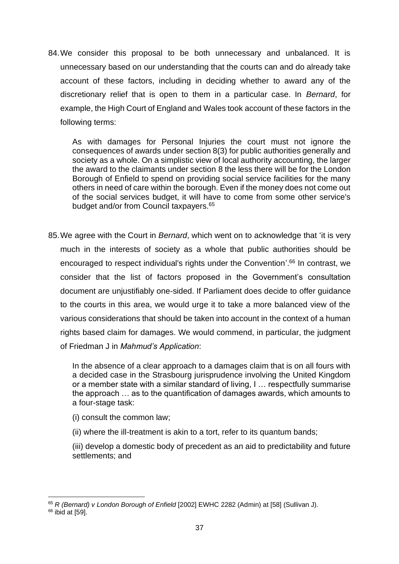84.We consider this proposal to be both unnecessary and unbalanced. It is unnecessary based on our understanding that the courts can and do already take account of these factors, including in deciding whether to award any of the discretionary relief that is open to them in a particular case. In *Bernard*, for example, the High Court of England and Wales took account of these factors in the following terms:

As with damages for Personal Injuries the court must not ignore the consequences of awards under section 8(3) for public authorities generally and society as a whole. On a simplistic view of local authority accounting, the larger the award to the claimants under section 8 the less there will be for the London Borough of Enfield to spend on providing social service facilities for the many others in need of care within the borough. Even if the money does not come out of the social services budget, it will have to come from some other service's budget and/or from Council taxpayers.<sup>65</sup>

85.We agree with the Court in *Bernard*, which went on to acknowledge that 'it is very much in the interests of society as a whole that public authorities should be encouraged to respect individual's rights under the Convention'.<sup>66</sup> In contrast, we consider that the list of factors proposed in the Government's consultation document are unjustifiably one-sided. If Parliament does decide to offer guidance to the courts in this area, we would urge it to take a more balanced view of the various considerations that should be taken into account in the context of a human rights based claim for damages. We would commend, in particular, the judgment of Friedman J in *Mahmud's Application*:

In the absence of a clear approach to a damages claim that is on all fours with a decided case in the Strasbourg jurisprudence involving the United Kingdom or a member state with a similar standard of living, I … respectfully summarise the approach … as to the quantification of damages awards, which amounts to a four-stage task:

- (i) consult the common law;
- (ii) where the ill-treatment is akin to a tort, refer to its quantum bands;

(iii) develop a domestic body of precedent as an aid to predictability and future settlements; and

<sup>65</sup> *R (Bernard) v London Borough of Enfield* [2002] EWHC 2282 (Admin) at [58] (Sullivan J).

 $66$  ibid at [59].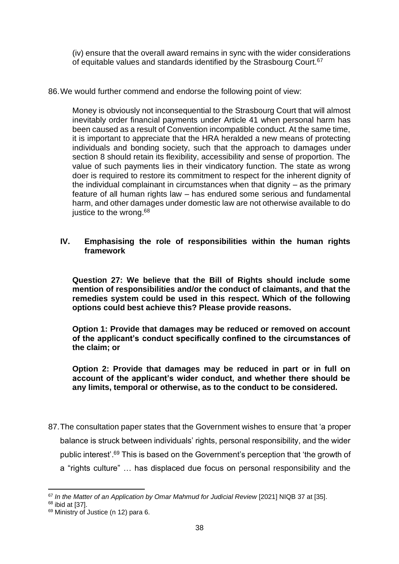(iv) ensure that the overall award remains in sync with the wider considerations of equitable values and standards identified by the Strasbourg Court.<sup>67</sup>

86.We would further commend and endorse the following point of view:

Money is obviously not inconsequential to the Strasbourg Court that will almost inevitably order financial payments under Article 41 when personal harm has been caused as a result of Convention incompatible conduct. At the same time, it is important to appreciate that the HRA heralded a new means of protecting individuals and bonding society, such that the approach to damages under section 8 should retain its flexibility, accessibility and sense of proportion. The value of such payments lies in their vindicatory function. The state as wrong doer is required to restore its commitment to respect for the inherent dignity of the individual complainant in circumstances when that dignity – as the primary feature of all human rights law – has endured some serious and fundamental harm, and other damages under domestic law are not otherwise available to do justice to the wrong.<sup>68</sup>

### **IV. Emphasising the role of responsibilities within the human rights framework**

**Question 27: We believe that the Bill of Rights should include some mention of responsibilities and/or the conduct of claimants, and that the remedies system could be used in this respect. Which of the following options could best achieve this? Please provide reasons.**

**Option 1: Provide that damages may be reduced or removed on account of the applicant's conduct specifically confined to the circumstances of the claim; or**

**Option 2: Provide that damages may be reduced in part or in full on account of the applicant's wider conduct, and whether there should be any limits, temporal or otherwise, as to the conduct to be considered.**

87.The consultation paper states that the Government wishes to ensure that 'a proper balance is struck between individuals' rights, personal responsibility, and the wider public interest'. <sup>69</sup> This is based on the Government's perception that 'the growth of a "rights culture" … has displaced due focus on personal responsibility and the

<sup>&</sup>lt;sup>67</sup> In the Matter of an Application by Omar Mahmud for Judicial Review [2021] NIQB 37 at [35].

<sup>68</sup> ibid at [37].

<sup>&</sup>lt;sup>69</sup> Ministry of Justice (n [12\)](#page-8-1) para 6.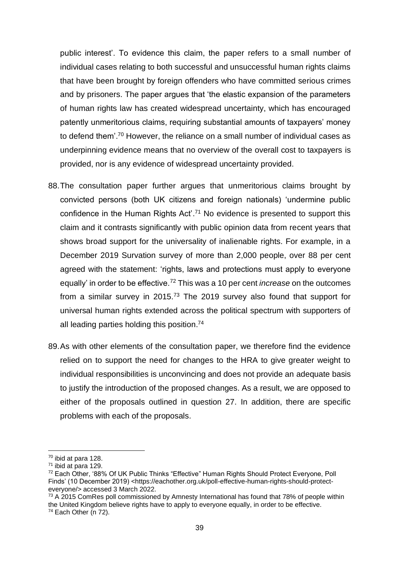public interest'. To evidence this claim, the paper refers to a small number of individual cases relating to both successful and unsuccessful human rights claims that have been brought by foreign offenders who have committed serious crimes and by prisoners. The paper argues that 'the elastic expansion of the parameters of human rights law has created widespread uncertainty, which has encouraged patently unmeritorious claims, requiring substantial amounts of taxpayers' money to defend them'. <sup>70</sup> However, the reliance on a small number of individual cases as underpinning evidence means that no overview of the overall cost to taxpayers is provided, nor is any evidence of widespread uncertainty provided.

- 88.The consultation paper further argues that unmeritorious claims brought by convicted persons (both UK citizens and foreign nationals) 'undermine public confidence in the Human Rights Act'.<sup>71</sup> No evidence is presented to support this claim and it contrasts significantly with public opinion data from recent years that shows broad support for the universality of inalienable rights. For example, in a December 2019 Survation survey of more than 2,000 people, over 88 per cent agreed with the statement: 'rights, laws and protections must apply to everyone equally' in order to be effective.<sup>72</sup> This was a 10 per cent *increase* on the outcomes from a similar survey in 2015.<sup>73</sup> The 2019 survey also found that support for universal human rights extended across the political spectrum with supporters of all leading parties holding this position. 74
- <span id="page-38-0"></span>89.As with other elements of the consultation paper, we therefore find the evidence relied on to support the need for changes to the HRA to give greater weight to individual responsibilities is unconvincing and does not provide an adequate basis to justify the introduction of the proposed changes. As a result, we are opposed to either of the proposals outlined in question 27. In addition, there are specific problems with each of the proposals.

<sup>70</sup> ibid at para 128.

<sup>71</sup> ibid at para 129.

<sup>72</sup> Each Other, '88% Of UK Public Thinks "Effective" Human Rights Should Protect Everyone, Poll Finds' (10 December 2019) <https://eachother.org.uk/poll-effective-human-rights-should-protecteveryone/> accessed 3 March 2022.

<sup>&</sup>lt;sup>73</sup> A 2015 ComRes poll commissioned by Amnesty International has found that 78% of people within the United Kingdom believe rights have to apply to everyone equally, in order to be effective.  $74$  Each Other (n [72\)](#page-38-0).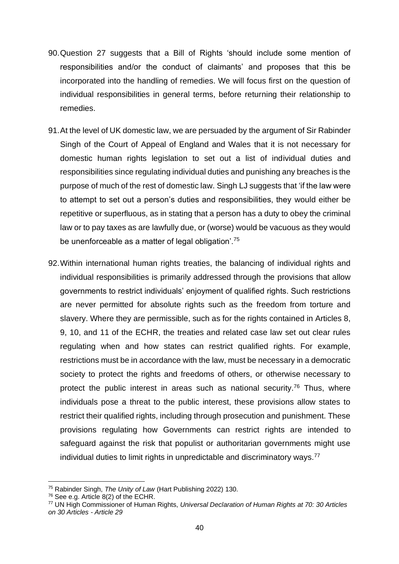- 90.Question 27 suggests that a Bill of Rights 'should include some mention of responsibilities and/or the conduct of claimants' and proposes that this be incorporated into the handling of remedies. We will focus first on the question of individual responsibilities in general terms, before returning their relationship to remedies.
- 91.At the level of UK domestic law, we are persuaded by the argument of Sir Rabinder Singh of the Court of Appeal of England and Wales that it is not necessary for domestic human rights legislation to set out a list of individual duties and responsibilities since regulating individual duties and punishing any breaches is the purpose of much of the rest of domestic law. Singh LJ suggests that 'if the law were to attempt to set out a person's duties and responsibilities, they would either be repetitive or superfluous, as in stating that a person has a duty to obey the criminal law or to pay taxes as are lawfully due, or (worse) would be vacuous as they would be unenforceable as a matter of legal obligation'.<sup>75</sup>
- 92.Within international human rights treaties, the balancing of individual rights and individual responsibilities is primarily addressed through the provisions that allow governments to restrict individuals' enjoyment of qualified rights. Such restrictions are never permitted for absolute rights such as the freedom from torture and slavery. Where they are permissible, such as for the rights contained in Articles 8, 9, 10, and 11 of the ECHR, the treaties and related case law set out clear rules regulating when and how states can restrict qualified rights. For example, restrictions must be in accordance with the law, must be necessary in a democratic society to protect the rights and freedoms of others, or otherwise necessary to protect the public interest in areas such as national security.<sup>76</sup> Thus, where individuals pose a threat to the public interest, these provisions allow states to restrict their qualified rights, including through prosecution and punishment. These provisions regulating how Governments can restrict rights are intended to safeguard against the risk that populist or authoritarian governments might use individual duties to limit rights in unpredictable and discriminatory ways.<sup>77</sup>

<sup>75</sup> Rabinder Singh, *The Unity of Law* (Hart Publishing 2022) 130.

<sup>76</sup> See e.g. Article 8(2) of the ECHR.

<sup>77</sup> UN High Commissioner of Human Rights, *Universal Declaration of Human Rights at 70: 30 Articles on 30 Articles - Article 29*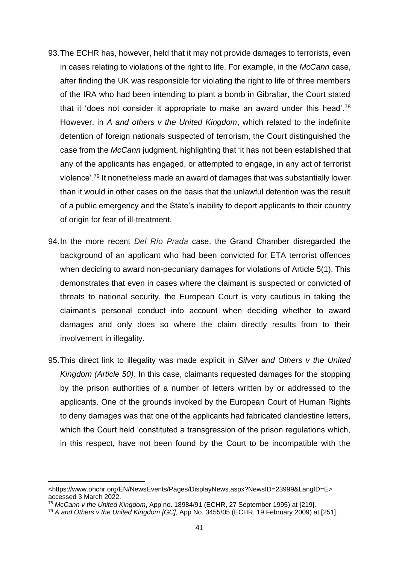- 93.The ECHR has, however, held that it may not provide damages to terrorists, even in cases relating to violations of the right to life. For example, in the *McCann* case, after finding the UK was responsible for violating the right to life of three members of the IRA who had been intending to plant a bomb in Gibraltar, the Court stated that it 'does not consider it appropriate to make an award under this head'.<sup>78</sup> However, in *A and others v the United Kingdom*, which related to the indefinite detention of foreign nationals suspected of terrorism, the Court distinguished the case from the *McCann* judgment, highlighting that 'it has not been established that any of the applicants has engaged, or attempted to engage, in any act of terrorist violence'.<sup>79</sup> It nonetheless made an award of damages that was substantially lower than it would in other cases on the basis that the unlawful detention was the result of a public emergency and the State's inability to deport applicants to their country of origin for fear of ill-treatment.
- 94.In the more recent *Del Río Prada* case, the Grand Chamber disregarded the background of an applicant who had been convicted for ETA terrorist offences when deciding to award non-pecuniary damages for violations of Article 5(1). This demonstrates that even in cases where the claimant is suspected or convicted of threats to national security, the European Court is very cautious in taking the claimant's personal conduct into account when deciding whether to award damages and only does so where the claim directly results from to their involvement in illegality.
- 95.This direct link to illegality was made explicit in *Silver and Others v the United Kingdom (Article 50)*. In this case, claimants requested damages for the stopping by the prison authorities of a number of letters written by or addressed to the applicants. One of the grounds invoked by the European Court of Human Rights to deny damages was that one of the applicants had fabricated clandestine letters, which the Court held 'constituted a transgression of the prison regulations which, in this respect, have not been found by the Court to be incompatible with the

<sup>&</sup>lt;https://www.ohchr.org/EN/NewsEvents/Pages/DisplayNews.aspx?NewsID=23999&LangID=E> accessed 3 March 2022.

<sup>78</sup> *McCann v the United Kingdom*, App no. [18984/91](https://hudoc.echr.coe.int/eng#{%22appno%22:[%2218984/91%22]}) (ECHR, 27 September 1995) at [219].

<sup>79</sup> *A and Others v the United Kingdom [GC]*, App No. 3455/05 (ECHR, 19 February 2009) at [251].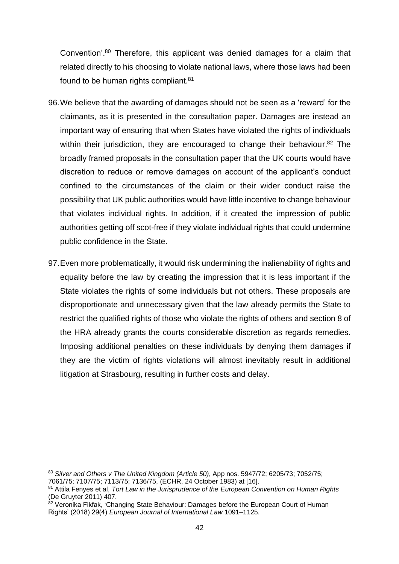Convention'.<sup>80</sup> Therefore, this applicant was denied damages for a claim that related directly to his choosing to violate national laws, where those laws had been found to be human rights compliant.<sup>81</sup>

- 96.We believe that the awarding of damages should not be seen as a 'reward' for the claimants, as it is presented in the consultation paper. Damages are instead an important way of ensuring that when States have violated the rights of individuals within their jurisdiction, they are encouraged to change their behaviour.<sup>82</sup> The broadly framed proposals in the consultation paper that the UK courts would have discretion to reduce or remove damages on account of the applicant's conduct confined to the circumstances of the claim or their wider conduct raise the possibility that UK public authorities would have little incentive to change behaviour that violates individual rights. In addition, if it created the impression of public authorities getting off scot-free if they violate individual rights that could undermine public confidence in the State.
- 97.Even more problematically, it would risk undermining the inalienability of rights and equality before the law by creating the impression that it is less important if the State violates the rights of some individuals but not others. These proposals are disproportionate and unnecessary given that the law already permits the State to restrict the qualified rights of those who violate the rights of others and section 8 of the HRA already grants the courts considerable discretion as regards remedies. Imposing additional penalties on these individuals by denying them damages if they are the victim of rights violations will almost inevitably result in additional litigation at Strasbourg, resulting in further costs and delay.

<sup>80</sup> *Silver and Others v The United Kingdom (Article 50)*, App nos. 5947/72; 6205/73; 7052/75; 7061/75; 7107/75; 7113/75; 7136/75, (ECHR, 24 October 1983) at [16].

<sup>81</sup> Attila Fenyes et al, *Tort Law in the Jurisprudence of the European Convention on Human Rights* (De Gruyter 2011) 407.

<sup>&</sup>lt;sup>82</sup> Veronika Fikfak, 'Changing State Behaviour: Damages before the European Court of Human Rights' (2018) 29(4) *European Journal of International Law* 1091–1125.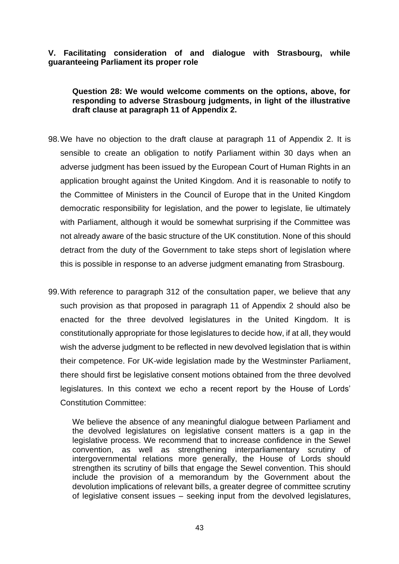### **V. Facilitating consideration of and dialogue with Strasbourg, while guaranteeing Parliament its proper role**

**Question 28: We would welcome comments on the options, above, for responding to adverse Strasbourg judgments, in light of the illustrative draft clause at paragraph 11 of Appendix 2.**

- 98.We have no objection to the draft clause at paragraph 11 of Appendix 2. It is sensible to create an obligation to notify Parliament within 30 days when an adverse judgment has been issued by the European Court of Human Rights in an application brought against the United Kingdom. And it is reasonable to notify to the Committee of Ministers in the Council of Europe that in the United Kingdom democratic responsibility for legislation, and the power to legislate, lie ultimately with Parliament, although it would be somewhat surprising if the Committee was not already aware of the basic structure of the UK constitution. None of this should detract from the duty of the Government to take steps short of legislation where this is possible in response to an adverse judgment emanating from Strasbourg.
- 99.With reference to paragraph 312 of the consultation paper, we believe that any such provision as that proposed in paragraph 11 of Appendix 2 should also be enacted for the three devolved legislatures in the United Kingdom. It is constitutionally appropriate for those legislatures to decide how, if at all, they would wish the adverse judgment to be reflected in new devolved legislation that is within their competence. For UK-wide legislation made by the Westminster Parliament, there should first be legislative consent motions obtained from the three devolved legislatures. In this context we echo a recent report by the House of Lords' Constitution Committee:

We believe the absence of any meaningful dialogue between Parliament and the devolved legislatures on legislative consent matters is a gap in the legislative process. We recommend that to increase confidence in the Sewel convention, as well as strengthening interparliamentary scrutiny of intergovernmental relations more generally, the House of Lords should strengthen its scrutiny of bills that engage the Sewel convention. This should include the provision of a memorandum by the Government about the devolution implications of relevant bills, a greater degree of committee scrutiny of legislative consent issues – seeking input from the devolved legislatures,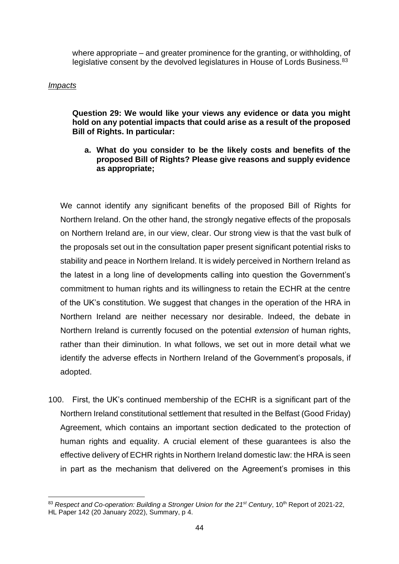where appropriate – and greater prominence for the granting, or withholding, of legislative consent by the devolved legislatures in House of Lords Business.<sup>83</sup>

### *Impacts*

**Question 29: We would like your views any evidence or data you might hold on any potential impacts that could arise as a result of the proposed Bill of Rights. In particular:**

#### **a. What do you consider to be the likely costs and benefits of the proposed Bill of Rights? Please give reasons and supply evidence as appropriate;**

We cannot identify any significant benefits of the proposed Bill of Rights for Northern Ireland. On the other hand, the strongly negative effects of the proposals on Northern Ireland are, in our view, clear. Our strong view is that the vast bulk of the proposals set out in the consultation paper present significant potential risks to stability and peace in Northern Ireland. It is widely perceived in Northern Ireland as the latest in a long line of developments calling into question the Government's commitment to human rights and its willingness to retain the ECHR at the centre of the UK's constitution. We suggest that changes in the operation of the HRA in Northern Ireland are neither necessary nor desirable. Indeed, the debate in Northern Ireland is currently focused on the potential *extension* of human rights, rather than their diminution. In what follows, we set out in more detail what we identify the adverse effects in Northern Ireland of the Government's proposals, if adopted.

100. First, the UK's continued membership of the ECHR is a significant part of the Northern Ireland constitutional settlement that resulted in the Belfast (Good Friday) Agreement, which contains an important section dedicated to the protection of human rights and equality. A crucial element of these guarantees is also the effective delivery of ECHR rights in Northern Ireland domestic law: the HRA is seen in part as the mechanism that delivered on the Agreement's promises in this

<sup>83</sup> *Respect and Co-operation: Building a Stronger Union for the 21st Century*, 10th Report of 2021-22, HL Paper 142 (20 January 2022), Summary, p 4.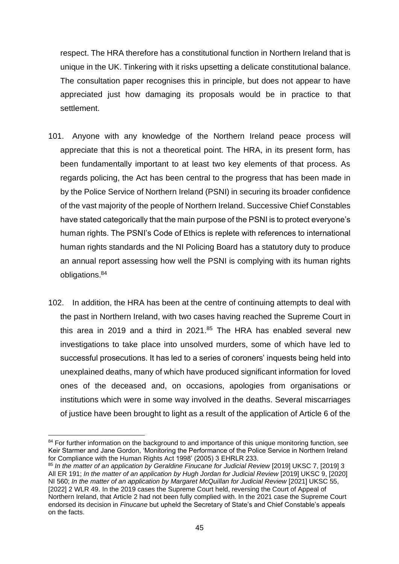respect. The HRA therefore has a constitutional function in Northern Ireland that is unique in the UK. Tinkering with it risks upsetting a delicate constitutional balance. The consultation paper recognises this in principle, but does not appear to have appreciated just how damaging its proposals would be in practice to that settlement.

- 101. Anyone with any knowledge of the Northern Ireland peace process will appreciate that this is not a theoretical point. The HRA, in its present form, has been fundamentally important to at least two key elements of that process. As regards policing, the Act has been central to the progress that has been made in by the Police Service of Northern Ireland (PSNI) in securing its broader confidence of the vast majority of the people of Northern Ireland. Successive Chief Constables have stated categorically that the main purpose of the PSNI is to protect everyone's human rights. The PSNI's Code of Ethics is replete with references to international human rights standards and the NI Policing Board has a statutory duty to produce an annual report assessing how well the PSNI is complying with its human rights obligations.<sup>84</sup>
- 102. In addition, the HRA has been at the centre of continuing attempts to deal with the past in Northern Ireland, with two cases having reached the Supreme Court in this area in 2019 and a third in 2021. <sup>85</sup> The HRA has enabled several new investigations to take place into unsolved murders, some of which have led to successful prosecutions. It has led to a series of coroners' inquests being held into unexplained deaths, many of which have produced significant information for loved ones of the deceased and, on occasions, apologies from organisations or institutions which were in some way involved in the deaths. Several miscarriages of justice have been brought to light as a result of the application of Article 6 of the

<sup>84</sup> For further information on the background to and importance of this unique monitoring function, see Keir Starmer and Jane Gordon, 'Monitoring the Performance of the Police Service in Northern Ireland for Compliance with the Human Rights Act 1998' (2005) 3 EHRLR 233.

<sup>85</sup> In the matter of an application by Geraldine Finucane for Judicial Review [2019] UKSC 7, [2019] 3 All ER 191; *In the matter of an application by Hugh Jordan for Judicial Review* [2019] UKSC 9, [2020] NI 560; *In the matter of an application by Margaret McQuillan for Judicial Review* [2021] UKSC 55, [2022] 2 WLR 49. In the 2019 cases the Supreme Court held, reversing the Court of Appeal of Northern Ireland, that Article 2 had not been fully complied with. In the 2021 case the Supreme Court endorsed its decision in *Finucane* but upheld the Secretary of State's and Chief Constable's appeals on the facts.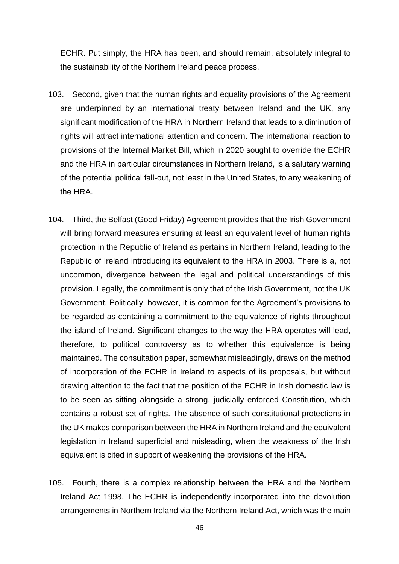ECHR. Put simply, the HRA has been, and should remain, absolutely integral to the sustainability of the Northern Ireland peace process.

- 103. Second, given that the human rights and equality provisions of the Agreement are underpinned by an international treaty between Ireland and the UK, any significant modification of the HRA in Northern Ireland that leads to a diminution of rights will attract international attention and concern. The international reaction to provisions of the Internal Market Bill, which in 2020 sought to override the ECHR and the HRA in particular circumstances in Northern Ireland, is a salutary warning of the potential political fall-out, not least in the United States, to any weakening of the HRA.
- 104. Third, the Belfast (Good Friday) Agreement provides that the Irish Government will bring forward measures ensuring at least an equivalent level of human rights protection in the Republic of Ireland as pertains in Northern Ireland, leading to the Republic of Ireland introducing its equivalent to the HRA in 2003. There is a, not uncommon, divergence between the legal and political understandings of this provision. Legally, the commitment is only that of the Irish Government, not the UK Government. Politically, however, it is common for the Agreement's provisions to be regarded as containing a commitment to the equivalence of rights throughout the island of Ireland. Significant changes to the way the HRA operates will lead, therefore, to political controversy as to whether this equivalence is being maintained. The consultation paper, somewhat misleadingly, draws on the method of incorporation of the ECHR in Ireland to aspects of its proposals, but without drawing attention to the fact that the position of the ECHR in Irish domestic law is to be seen as sitting alongside a strong, judicially enforced Constitution, which contains a robust set of rights. The absence of such constitutional protections in the UK makes comparison between the HRA in Northern Ireland and the equivalent legislation in Ireland superficial and misleading, when the weakness of the Irish equivalent is cited in support of weakening the provisions of the HRA.
- 105. Fourth, there is a complex relationship between the HRA and the Northern Ireland Act 1998. The ECHR is independently incorporated into the devolution arrangements in Northern Ireland via the Northern Ireland Act, which was the main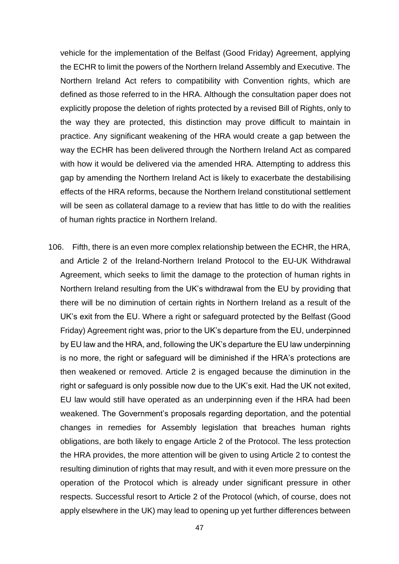vehicle for the implementation of the Belfast (Good Friday) Agreement, applying the ECHR to limit the powers of the Northern Ireland Assembly and Executive. The Northern Ireland Act refers to compatibility with Convention rights, which are defined as those referred to in the HRA. Although the consultation paper does not explicitly propose the deletion of rights protected by a revised Bill of Rights, only to the way they are protected, this distinction may prove difficult to maintain in practice. Any significant weakening of the HRA would create a gap between the way the ECHR has been delivered through the Northern Ireland Act as compared with how it would be delivered via the amended HRA. Attempting to address this gap by amending the Northern Ireland Act is likely to exacerbate the destabilising effects of the HRA reforms, because the Northern Ireland constitutional settlement will be seen as collateral damage to a review that has little to do with the realities of human rights practice in Northern Ireland.

106. Fifth, there is an even more complex relationship between the ECHR, the HRA, and Article 2 of the Ireland-Northern Ireland Protocol to the EU-UK Withdrawal Agreement, which seeks to limit the damage to the protection of human rights in Northern Ireland resulting from the UK's withdrawal from the EU by providing that there will be no diminution of certain rights in Northern Ireland as a result of the UK's exit from the EU. Where a right or safeguard protected by the Belfast (Good Friday) Agreement right was, prior to the UK's departure from the EU, underpinned by EU law and the HRA, and, following the UK's departure the EU law underpinning is no more, the right or safeguard will be diminished if the HRA's protections are then weakened or removed. Article 2 is engaged because the diminution in the right or safeguard is only possible now due to the UK's exit. Had the UK not exited, EU law would still have operated as an underpinning even if the HRA had been weakened. The Government's proposals regarding deportation, and the potential changes in remedies for Assembly legislation that breaches human rights obligations, are both likely to engage Article 2 of the Protocol. The less protection the HRA provides, the more attention will be given to using Article 2 to contest the resulting diminution of rights that may result, and with it even more pressure on the operation of the Protocol which is already under significant pressure in other respects. Successful resort to Article 2 of the Protocol (which, of course, does not apply elsewhere in the UK) may lead to opening up yet further differences between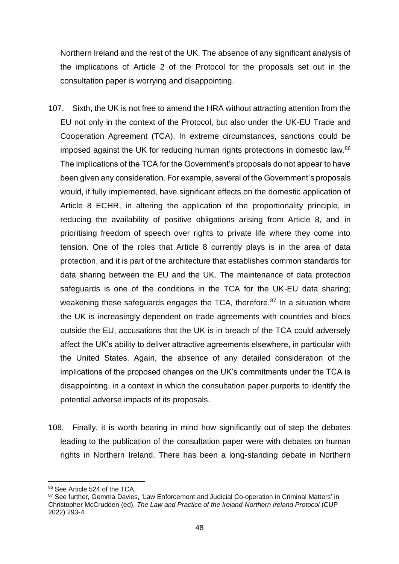Northern Ireland and the rest of the UK. The absence of any significant analysis of the implications of Article 2 of the Protocol for the proposals set out in the consultation paper is worrying and disappointing.

- 107. Sixth, the UK is not free to amend the HRA without attracting attention from the EU not only in the context of the Protocol, but also under the UK-EU Trade and Cooperation Agreement (TCA). In extreme circumstances, sanctions could be imposed against the UK for reducing human rights protections in domestic law.<sup>86</sup> The implications of the TCA for the Government's proposals do not appear to have been given any consideration. For example, several of the Government's proposals would, if fully implemented, have significant effects on the domestic application of Article 8 ECHR, in altering the application of the proportionality principle, in reducing the availability of positive obligations arising from Article 8, and in prioritising freedom of speech over rights to private life where they come into tension. One of the roles that Article 8 currently plays is in the area of data protection, and it is part of the architecture that establishes common standards for data sharing between the EU and the UK. The maintenance of data protection safeguards is one of the conditions in the TCA for the UK-EU data sharing; weakening these safeguards engages the TCA, therefore.<sup>87</sup> In a situation where the UK is increasingly dependent on trade agreements with countries and blocs outside the EU, accusations that the UK is in breach of the TCA could adversely affect the UK's ability to deliver attractive agreements elsewhere, in particular with the United States. Again, the absence of any detailed consideration of the implications of the proposed changes on the UK's commitments under the TCA is disappointing, in a context in which the consultation paper purports to identify the potential adverse impacts of its proposals.
- 108. Finally, it is worth bearing in mind how significantly out of step the debates leading to the publication of the consultation paper were with debates on human rights in Northern Ireland. There has been a long-standing debate in Northern

<sup>86</sup> See Article 524 of the TCA.

<sup>87</sup> See further, Gemma Davies, 'Law Enforcement and Judicial Co-operation in Criminal Matters' in Christopher McCrudden (ed), *The Law and Practice of the Ireland-Northern Ireland Protocol* (CUP 2022) 293-4.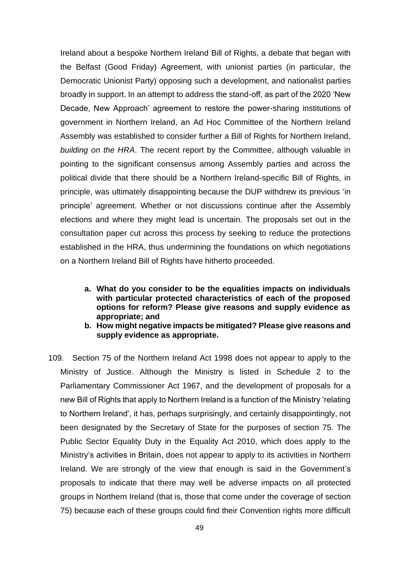Ireland about a bespoke Northern Ireland Bill of Rights, a debate that began with the Belfast (Good Friday) Agreement, with unionist parties (in particular, the Democratic Unionist Party) opposing such a development, and nationalist parties broadly in support. In an attempt to address the stand-off, as part of the 2020 'New Decade, New Approach' agreement to restore the power-sharing institutions of government in Northern Ireland, an Ad Hoc Committee of the Northern Ireland Assembly was established to consider further a Bill of Rights for Northern Ireland, *building on the HRA*. The recent report by the Committee, although valuable in pointing to the significant consensus among Assembly parties and across the political divide that there should be a Northern Ireland-specific Bill of Rights, in principle, was ultimately disappointing because the DUP withdrew its previous 'in principle' agreement. Whether or not discussions continue after the Assembly elections and where they might lead is uncertain. The proposals set out in the consultation paper cut across this process by seeking to reduce the protections established in the HRA, thus undermining the foundations on which negotiations on a Northern Ireland Bill of Rights have hitherto proceeded.

- **a. What do you consider to be the equalities impacts on individuals with particular protected characteristics of each of the proposed options for reform? Please give reasons and supply evidence as appropriate; and**
- **b. How might negative impacts be mitigated? Please give reasons and supply evidence as appropriate.**
- 109. Section 75 of the Northern Ireland Act 1998 does not appear to apply to the Ministry of Justice. Although the Ministry is listed in Schedule 2 to the Parliamentary Commissioner Act 1967, and the development of proposals for a new Bill of Rights that apply to Northern Ireland is a function of the Ministry 'relating to Northern Ireland', it has, perhaps surprisingly, and certainly disappointingly, not been designated by the Secretary of State for the purposes of section 75. The Public Sector Equality Duty in the Equality Act 2010, which does apply to the Ministry's activities in Britain, does not appear to apply to its activities in Northern Ireland. We are strongly of the view that enough is said in the Government's proposals to indicate that there may well be adverse impacts on all protected groups in Northern Ireland (that is, those that come under the coverage of section 75) because each of these groups could find their Convention rights more difficult